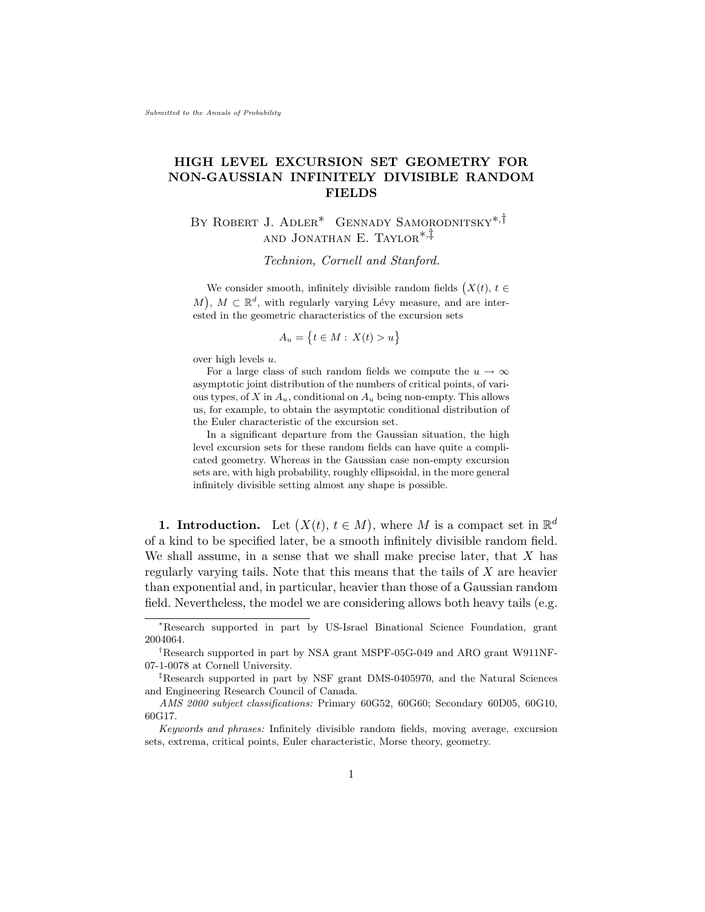# HIGH LEVEL EXCURSION SET GEOMETRY FOR NON-GAUSSIAN INFINITELY DIVISIBLE RANDOM FIELDS

# By Robert J. Adler[∗](#page-0-0) Gennady Samorodnitsky[∗](#page-0-0),[†](#page-0-1) and Jonathan E. Taylor[∗](#page-0-0),[‡](#page-0-2)

Technion, Cornell and Stanford.

We consider smooth, infinitely divisible random fields  $(X(t), t \in$ M,  $M \subset \mathbb{R}^d$ , with regularly varying Lévy measure, and are interested in the geometric characteristics of the excursion sets

$$
A_u = \{ t \in M : X(t) > u \}
$$

over high levels u.

For a large class of such random fields we compute the  $u \to \infty$ asymptotic joint distribution of the numbers of critical points, of various types, of X in  $A_u$ , conditional on  $A_u$  being non-empty. This allows us, for example, to obtain the asymptotic conditional distribution of the Euler characteristic of the excursion set.

In a significant departure from the Gaussian situation, the high level excursion sets for these random fields can have quite a complicated geometry. Whereas in the Gaussian case non-empty excursion sets are, with high probability, roughly ellipsoidal, in the more general infinitely divisible setting almost any shape is possible.

**1. Introduction.** Let  $(X(t), t \in M)$ , where M is a compact set in  $\mathbb{R}^d$ of a kind to be specified later, be a smooth infinitely divisible random field. We shall assume, in a sense that we shall make precise later, that  $X$  has regularly varying tails. Note that this means that the tails of X are heavier than exponential and, in particular, heavier than those of a Gaussian random field. Nevertheless, the model we are considering allows both heavy tails (e.g.

<span id="page-0-0"></span><sup>∗</sup>Research supported in part by US-Israel Binational Science Foundation, grant 2004064.

<span id="page-0-1"></span><sup>†</sup>Research supported in part by NSA grant MSPF-05G-049 and ARO grant W911NF-07-1-0078 at Cornell University.

<span id="page-0-2"></span><sup>‡</sup>Research supported in part by NSF grant DMS-0405970, and the Natural Sciences and Engineering Research Council of Canada.

AMS 2000 subject classifications: Primary 60G52, 60G60; Secondary 60D05, 60G10, 60G17.

Keywords and phrases: Infinitely divisible random fields, moving average, excursion sets, extrema, critical points, Euler characteristic, Morse theory, geometry.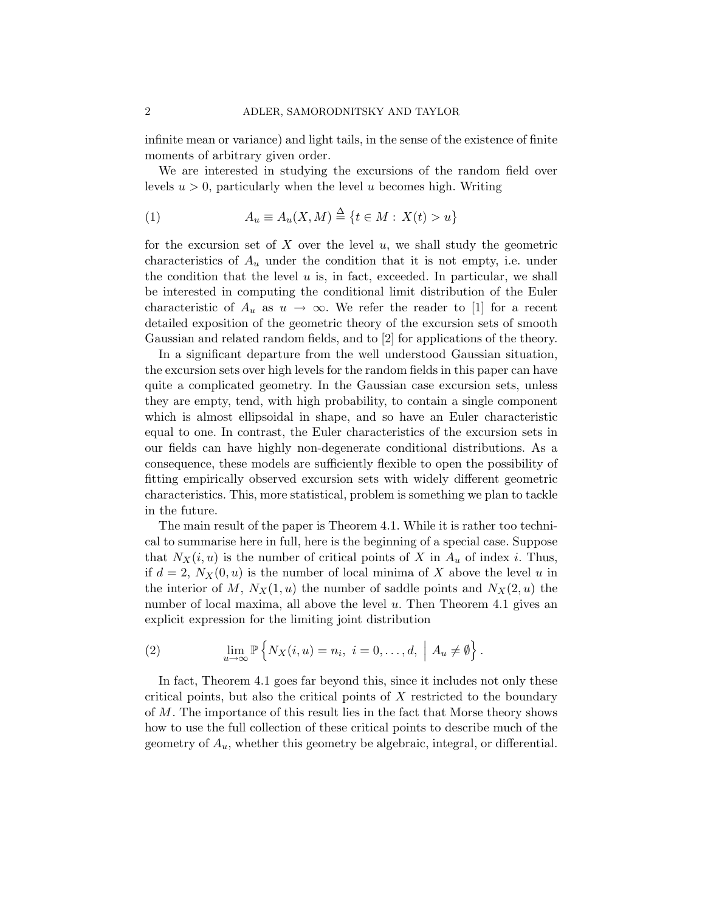infinite mean or variance) and light tails, in the sense of the existence of finite moments of arbitrary given order.

We are interested in studying the excursions of the random field over levels  $u > 0$ , particularly when the level u becomes high. Writing

<span id="page-1-0"></span>(1) 
$$
A_u \equiv A_u(X, M) \stackrel{\Delta}{=} \{t \in M : X(t) > u\}
$$

for the excursion set of X over the level  $u$ , we shall study the geometric characteristics of  $A_u$  under the condition that it is not empty, i.e. under the condition that the level  $u$  is, in fact, exceeded. In particular, we shall be interested in computing the conditional limit distribution of the Euler characteristic of  $A_u$  as  $u \to \infty$ . We refer the reader to [\[1\]](#page-41-0) for a recent detailed exposition of the geometric theory of the excursion sets of smooth Gaussian and related random fields, and to [\[2\]](#page-41-1) for applications of the theory.

In a significant departure from the well understood Gaussian situation, the excursion sets over high levels for the random fields in this paper can have quite a complicated geometry. In the Gaussian case excursion sets, unless they are empty, tend, with high probability, to contain a single component which is almost ellipsoidal in shape, and so have an Euler characteristic equal to one. In contrast, the Euler characteristics of the excursion sets in our fields can have highly non-degenerate conditional distributions. As a consequence, these models are sufficiently flexible to open the possibility of fitting empirically observed excursion sets with widely different geometric characteristics. This, more statistical, problem is something we plan to tackle in the future.

The main result of the paper is Theorem [4.1.](#page-13-0) While it is rather too technical to summarise here in full, here is the beginning of a special case. Suppose that  $N_X(i, u)$  is the number of critical points of X in  $A_u$  of index i. Thus, if  $d = 2$ ,  $N_X(0, u)$  is the number of local minima of X above the level u in the interior of M,  $N_X(1, u)$  the number of saddle points and  $N_X(2, u)$  the number of local maxima, all above the level u. Then Theorem [4.1](#page-13-0) gives an explicit expression for the limiting joint distribution

(2) 
$$
\lim_{u \to \infty} \mathbb{P}\left\{ N_X(i, u) = n_i, i = 0, \dots, d, \mid A_u \neq \emptyset \right\}.
$$

In fact, Theorem [4.1](#page-13-0) goes far beyond this, since it includes not only these critical points, but also the critical points of  $X$  restricted to the boundary of M. The importance of this result lies in the fact that Morse theory shows how to use the full collection of these critical points to describe much of the geometry of  $A_u$ , whether this geometry be algebraic, integral, or differential.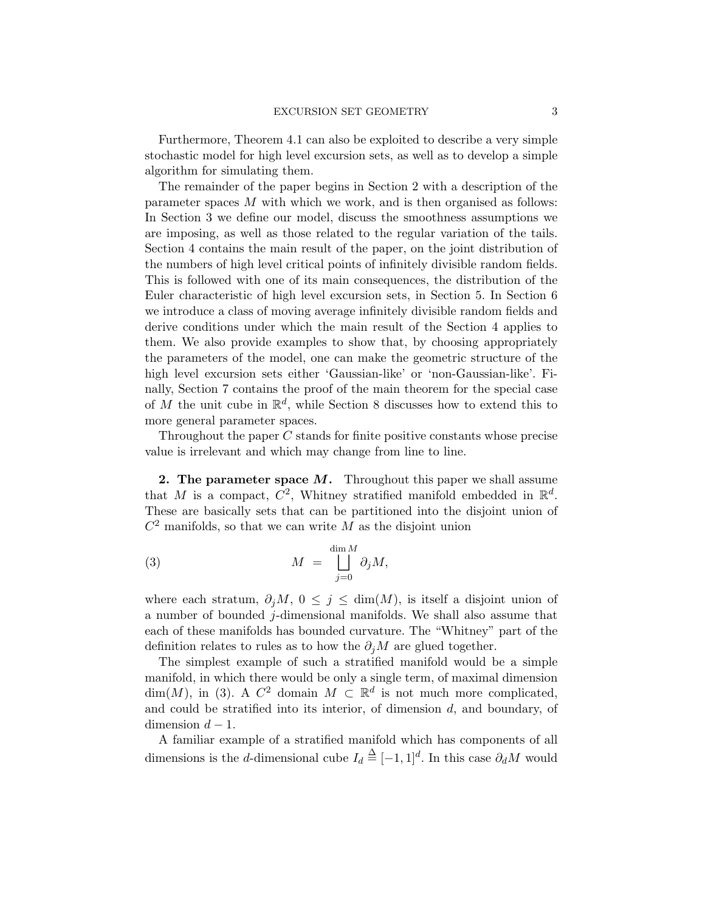Furthermore, Theorem [4.1](#page-13-0) can also be exploited to describe a very simple stochastic model for high level excursion sets, as well as to develop a simple algorithm for simulating them.

The remainder of the paper begins in Section [2](#page-2-0) with a description of the parameter spaces M with which we work, and is then organised as follows: In Section [3](#page-3-0) we define our model, discuss the smoothness assumptions we are imposing, as well as those related to the regular variation of the tails. Section [4](#page-12-0) contains the main result of the paper, on the joint distribution of the numbers of high level critical points of infinitely divisible random fields. This is followed with one of its main consequences, the distribution of the Euler characteristic of high level excursion sets, in Section [5.](#page-15-0) In Section [6](#page-16-0) we introduce a class of moving average infinitely divisible random fields and derive conditions under which the main result of the Section [4](#page-12-0) applies to them. We also provide examples to show that, by choosing appropriately the parameters of the model, one can make the geometric structure of the high level excursion sets either 'Gaussian-like' or 'non-Gaussian-like'. Finally, Section [7](#page-22-0) contains the proof of the main theorem for the special case of M the unit cube in  $\mathbb{R}^d$ , while Section [8](#page-40-0) discusses how to extend this to more general parameter spaces.

Throughout the paper C stands for finite positive constants whose precise value is irrelevant and which may change from line to line.

<span id="page-2-0"></span>2. The parameter space  $M$ . Throughout this paper we shall assume that M is a compact,  $C^2$ , Whitney stratified manifold embedded in  $\mathbb{R}^d$ . These are basically sets that can be partitioned into the disjoint union of  $C<sup>2</sup>$  manifolds, so that we can write M as the disjoint union

<span id="page-2-1"></span>(3) 
$$
M = \bigsqcup_{j=0}^{\dim M} \partial_j M,
$$

where each stratum,  $\partial_j M$ ,  $0 \leq j \leq \dim(M)$ , is itself a disjoint union of a number of bounded  $j$ -dimensional manifolds. We shall also assume that each of these manifolds has bounded curvature. The "Whitney" part of the definition relates to rules as to how the  $\partial_i M$  are glued together.

The simplest example of such a stratified manifold would be a simple manifold, in which there would be only a single term, of maximal dimension  $\dim(M)$ , in [\(3\)](#page-2-1). A  $C^2$  domain  $M \subset \mathbb{R}^d$  is not much more complicated, and could be stratified into its interior, of dimension  $d$ , and boundary, of dimension  $d-1$ .

A familiar example of a stratified manifold which has components of all dimensions is the *d*-dimensional cube  $I_d \triangleq [-1, 1]^d$ . In this case  $\partial_d M$  would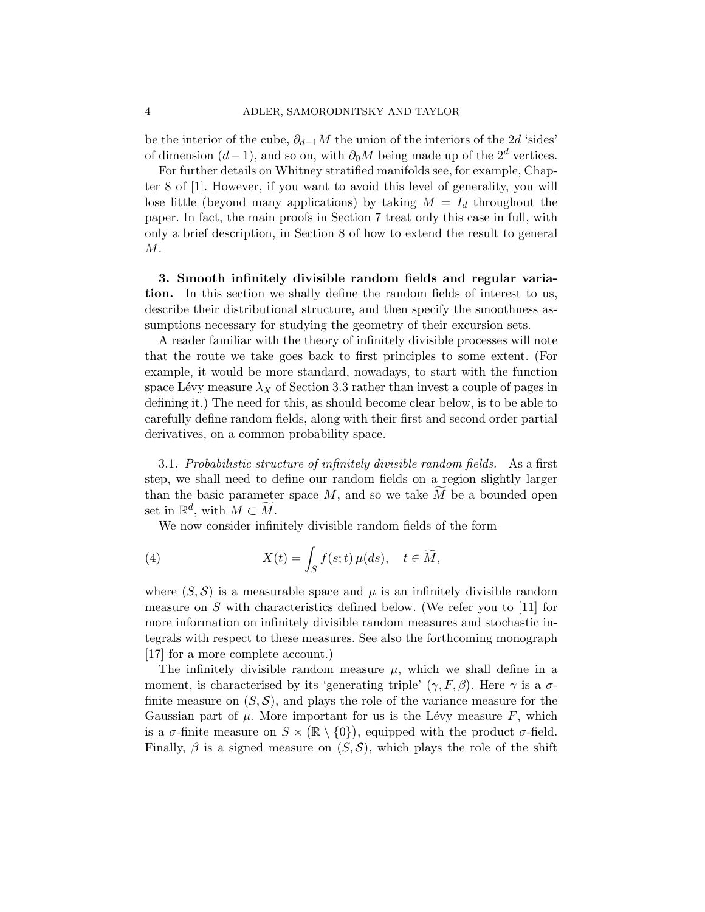be the interior of the cube,  $\partial_{d-1}M$  the union of the interiors of the 2d 'sides' of dimension  $(d-1)$ , and so on, with  $\partial_0 M$  being made up of the  $2^d$  vertices.

For further details on Whitney stratified manifolds see, for example, Chapter 8 of [\[1\]](#page-41-0). However, if you want to avoid this level of generality, you will lose little (beyond many applications) by taking  $M = I_d$  throughout the paper. In fact, the main proofs in Section [7](#page-22-0) treat only this case in full, with only a brief description, in Section [8](#page-40-0) of how to extend the result to general M.

<span id="page-3-0"></span>3. Smooth infinitely divisible random fields and regular variation. In this section we shally define the random fields of interest to us, describe their distributional structure, and then specify the smoothness assumptions necessary for studying the geometry of their excursion sets.

A reader familiar with the theory of infinitely divisible processes will note that the route we take goes back to first principles to some extent. (For example, it would be more standard, nowadays, to start with the function space Lévy measure  $\lambda_X$  of Section [3.3](#page-9-0) rather than invest a couple of pages in defining it.) The need for this, as should become clear below, is to be able to carefully define random fields, along with their first and second order partial derivatives, on a common probability space.

3.1. Probabilistic structure of infinitely divisible random fields. As a first step, we shall need to define our random fields on a region slightly larger than the basic parameter space  $M$ , and so we take  $M$  be a bounded open set in  $\mathbb{R}^d$ , with  $M \subset \widetilde{M}$ .

<span id="page-3-1"></span>We now consider infinitely divisible random fields of the form

(4) 
$$
X(t) = \int_{S} f(s; t) \,\mu(ds), \quad t \in \widetilde{M},
$$

where  $(S, \mathcal{S})$  is a measurable space and  $\mu$  is an infinitely divisible random measure on S with characteristics defined below. (We refer you to  $[11]$  for more information on infinitely divisible random measures and stochastic integrals with respect to these measures. See also the forthcoming monograph [\[17\]](#page-41-3) for a more complete account.)

The infinitely divisible random measure  $\mu$ , which we shall define in a moment, is characterised by its 'generating triple'  $(\gamma, F, \beta)$ . Here  $\gamma$  is a  $\sigma$ finite measure on  $(S, \mathcal{S})$ , and plays the role of the variance measure for the Gaussian part of  $\mu$ . More important for us is the Lévy measure F, which is a  $\sigma$ -finite measure on  $S \times (\mathbb{R} \setminus \{0\})$ , equipped with the product  $\sigma$ -field. Finally,  $\beta$  is a signed measure on  $(S, S)$ , which plays the role of the shift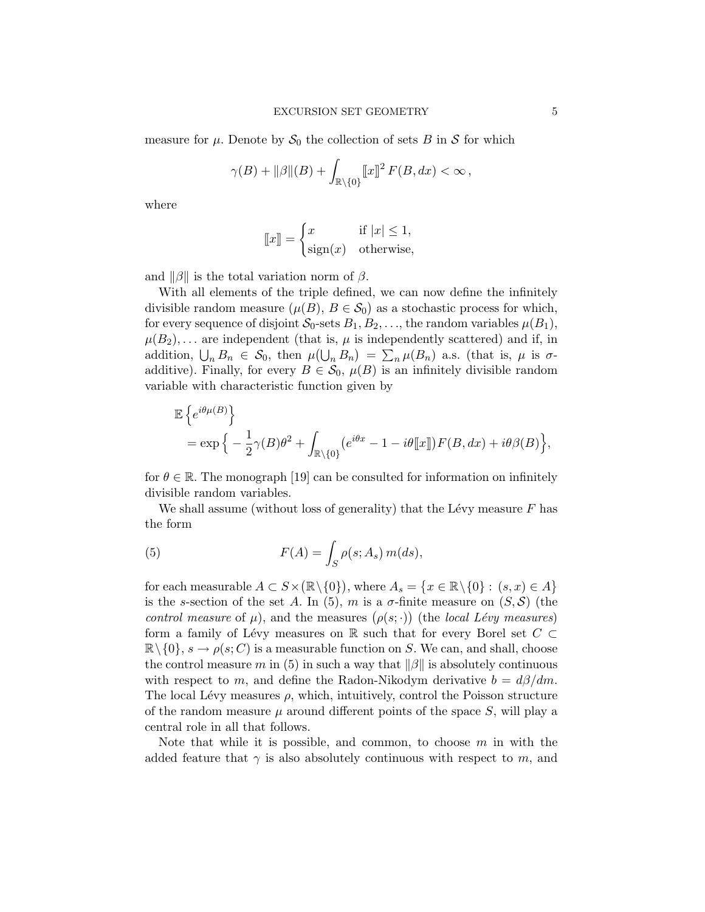measure for  $\mu$ . Denote by  $S_0$  the collection of sets B in S for which

$$
\gamma(B) + ||\beta||(B) + \int_{\mathbb{R}\setminus\{0\}} [x]^2 F(B, dx) < \infty,
$$

where

$$
[\![x]\!] = \begin{cases} x & \text{if } |x| \le 1, \\ \text{sign}(x) & \text{otherwise,} \end{cases}
$$

and  $\|\beta\|$  is the total variation norm of  $\beta$ .

With all elements of the triple defined, we can now define the infinitely divisible random measure  $(\mu(B), B \in \mathcal{S}_0)$  as a stochastic process for which, for every sequence of disjoint  $S_0$ -sets  $B_1, B_2, \ldots$ , the random variables  $\mu(B_1)$ ,  $\mu(B_2), \ldots$  are independent (that is,  $\mu$  is independently scattered) and if, in addition,  $\bigcup_n B_n \in S_0$ , then  $\mu(\bigcup_n B_n) = \sum_n \mu(B_n)$  a.s. (that is,  $\mu$  is  $\sigma$ additive). Finally, for every  $B \in \mathcal{S}_0$ ,  $\mu(B)$  is an infinitely divisible random variable with characteristic function given by

$$
\mathbb{E}\left\{e^{i\theta\mu(B)}\right\}
$$
  
=  $\exp\left\{-\frac{1}{2}\gamma(B)\theta^2 + \int_{\mathbb{R}\setminus\{0\}} (e^{i\theta x} - 1 - i\theta[\![x]\!])F(B, dx) + i\theta\beta(B)\right\},$ 

for  $\theta \in \mathbb{R}$ . The monograph [\[19\]](#page-42-0) can be consulted for information on infinitely divisible random variables.

We shall assume (without loss of generality) that the Lévy measure  $F$  has the form

<span id="page-4-0"></span>(5) 
$$
F(A) = \int_{S} \rho(s; A_s) m(ds),
$$

for each measurable  $A \subset S \times (\mathbb{R} \setminus \{0\})$ , where  $A_s = \{x \in \mathbb{R} \setminus \{0\} : (s, x) \in A\}$ is the s-section of the set A. In [\(5\)](#page-4-0), m is a  $\sigma$ -finite measure on  $(S, \mathcal{S})$  (the control measure of  $\mu$ ), and the measures  $(\rho(s; \cdot))$  (the local Lévy measures) form a family of Lévy measures on R such that for every Borel set  $C \subset$  $\mathbb{R}\setminus\{0\}, s \to \rho(s; C)$  is a measurable function on S. We can, and shall, choose the control measure m in [\(5\)](#page-4-0) in such a way that  $\|\beta\|$  is absolutely continuous with respect to m, and define the Radon-Nikodym derivative  $b = d\beta/dm$ . The local Lévy measures  $\rho$ , which, intuitively, control the Poisson structure of the random measure  $\mu$  around different points of the space S, will play a central role in all that follows.

Note that while it is possible, and common, to choose  $m$  in with the added feature that  $\gamma$  is also absolutely continuous with respect to m, and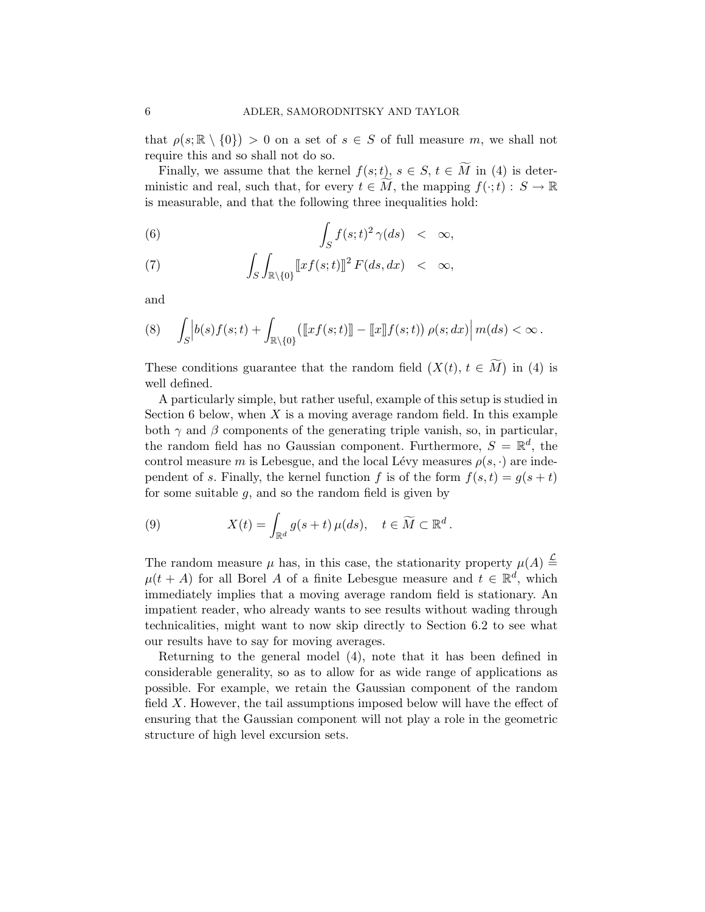that  $\rho(s; \mathbb{R} \setminus \{0\}) > 0$  on a set of  $s \in S$  of full measure m, we shall not require this and so shall not do so.

Finally, we assume that the kernel  $f(s; t)$ ,  $s \in S$ ,  $t \in \widetilde{M}$  in [\(4\)](#page-3-1) is deterministic and real, such that, for every  $t \in \widetilde{M}$ , the mapping  $f(\cdot;t): S \to \mathbb{R}$ is measurable, and that the following three inequalities hold:

<span id="page-5-0"></span>(6) 
$$
\int_{S} f(s;t)^{2} \gamma(ds) < \infty,
$$

(7) 
$$
\int_{S} \int_{\mathbb{R}\setminus\{0\}} [xf(s;t)]^2 F(ds,dx) < \infty,
$$

and

<span id="page-5-2"></span>
$$
(8) \quad \int_{S} \left| b(s)f(s;t) + \int_{\mathbb{R}\setminus\{0\}} \left( \left[ \left[ xf(s;t) \right] \right] - \left[ \left[ x \right] \right] f(s;t) \right) \rho(s;dx) \right| m(ds) < \infty.
$$

These conditions guarantee that the random field  $(X(t), t \in M)$  in [\(4\)](#page-3-1) is well defined.

A particularly simple, but rather useful, example of this setup is studied in Section [6](#page-16-0) below, when  $X$  is a moving average random field. In this example both  $\gamma$  and  $\beta$  components of the generating triple vanish, so, in particular, the random field has no Gaussian component. Furthermore,  $S = \mathbb{R}^d$ , the control measure m is Lebesgue, and the local Lévy measures  $\rho(s, \cdot)$  are independent of s. Finally, the kernel function f is of the form  $f(s,t) = g(s+t)$ for some suitable  $g$ , and so the random field is given by

<span id="page-5-1"></span>(9) 
$$
X(t) = \int_{\mathbb{R}^d} g(s+t) \,\mu(ds), \quad t \in \widetilde{M} \subset \mathbb{R}^d.
$$

The random measure  $\mu$  has, in this case, the stationarity property  $\mu(A) \stackrel{\mathcal{L}}{=}$  $\mu(t + A)$  for all Borel A of a finite Lebesgue measure and  $t \in \mathbb{R}^d$ , which immediately implies that a moving average random field is stationary. An impatient reader, who already wants to see results without wading through technicalities, might want to now skip directly to Section [6.2](#page-21-0) to see what our results have to say for moving averages.

Returning to the general model [\(4\)](#page-3-1), note that it has been defined in considerable generality, so as to allow for as wide range of applications as possible. For example, we retain the Gaussian component of the random field X. However, the tail assumptions imposed below will have the effect of ensuring that the Gaussian component will not play a role in the geometric structure of high level excursion sets.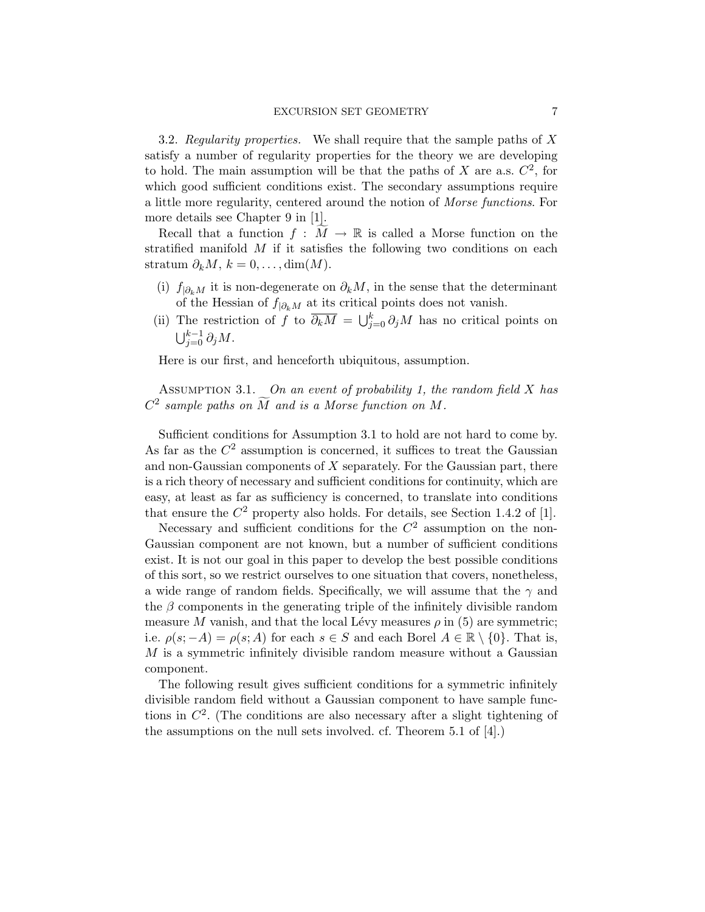3.2. Regularity properties. We shall require that the sample paths of  $X$ satisfy a number of regularity properties for the theory we are developing to hold. The main assumption will be that the paths of  $X$  are a.s.  $C^2$ , for which good sufficient conditions exist. The secondary assumptions require a little more regularity, centered around the notion of Morse functions. For more details see Chapter 9 in [\[1\]](#page-41-0).

Recall that a function  $f : M \to \mathbb{R}$  is called a Morse function on the stratified manifold  $M$  if it satisfies the following two conditions on each stratum  $\partial_k M$ ,  $k = 0, \ldots, \dim(M)$ .

- (i)  $f_{|\partial_k M}$  it is non-degenerate on  $\partial_k M$ , in the sense that the determinant of the Hessian of  $f_{|\partial_k M}$  at its critical points does not vanish.
- (ii) The restriction of f to  $\overline{\partial_k M} = \bigcup_{j=0}^k \partial_j M$  has no critical points on  $\bigcup_{j=0}^{k-1} \partial_j M.$

Here is our first, and henceforth ubiquitous, assumption.

<span id="page-6-0"></span>ASSUMPTION 3.1. On an event of probability 1, the random field  $X$  has  $C^2$  sample paths on  $\widetilde{M}$  and is a Morse function on M.

Sufficient conditions for Assumption [3.1](#page-6-0) to hold are not hard to come by. As far as the  $C^2$  assumption is concerned, it suffices to treat the Gaussian and non-Gaussian components of  $X$  separately. For the Gaussian part, there is a rich theory of necessary and sufficient conditions for continuity, which are easy, at least as far as sufficiency is concerned, to translate into conditions that ensure the  $C^2$  property also holds. For details, see Section 1.4.2 of [\[1\]](#page-41-0).

Necessary and sufficient conditions for the  $C<sup>2</sup>$  assumption on the non-Gaussian component are not known, but a number of sufficient conditions exist. It is not our goal in this paper to develop the best possible conditions of this sort, so we restrict ourselves to one situation that covers, nonetheless, a wide range of random fields. Specifically, we will assume that the  $\gamma$  and the  $\beta$  components in the generating triple of the infinitely divisible random measure M vanish, and that the local Lévy measures  $\rho$  in [\(5\)](#page-4-0) are symmetric; i.e.  $\rho(s; -A) = \rho(s; A)$  for each  $s \in S$  and each Borel  $A \in \mathbb{R} \setminus \{0\}$ . That is,  $M$  is a symmetric infinitely divisible random measure without a Gaussian component.

<span id="page-6-1"></span>The following result gives sufficient conditions for a symmetric infinitely divisible random field without a Gaussian component to have sample functions in  $\mathbb{C}^2$ . (The conditions are also necessary after a slight tightening of the assumptions on the null sets involved. cf. Theorem 5.1 of [\[4\]](#page-41-4).)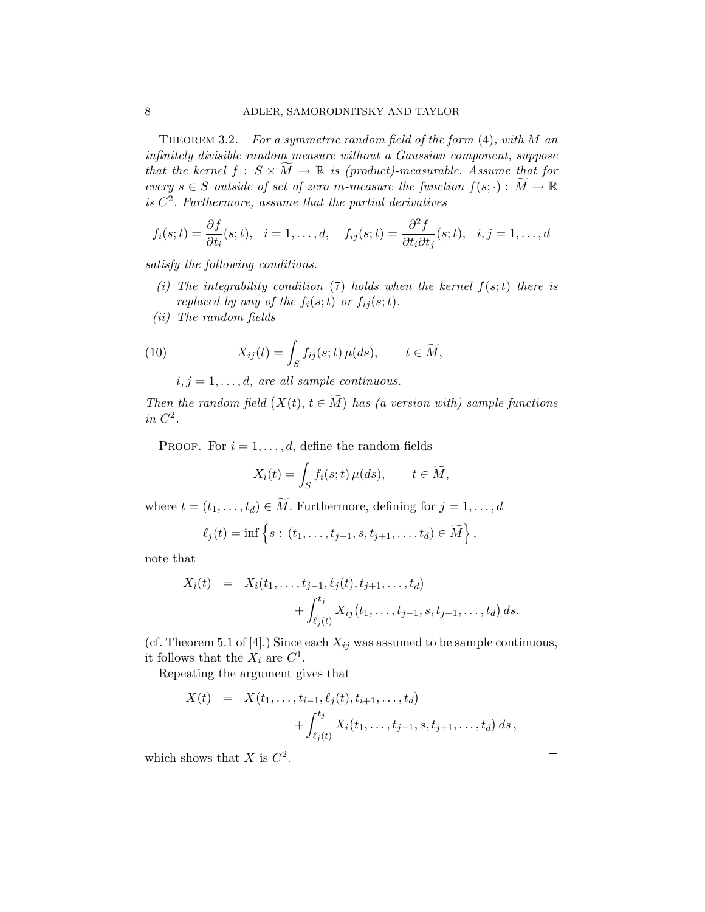THEOREM 3.2. For a symmetric random field of the form  $(4)$ , with M an infinitely divisible random measure without a Gaussian component, suppose that the kernel  $f : S \times \widetilde{M} \to \mathbb{R}$  is (product)-measurable. Assume that for every  $s \in S$  outside of set of zero m-measure the function  $f(s; \cdot) : \widetilde{M} \to \mathbb{R}$ is  $C<sup>2</sup>$ . Furthermore, assume that the partial derivatives

$$
f_i(s;t) = \frac{\partial f}{\partial t_i}(s;t), \quad i = 1,\ldots,d, \quad f_{ij}(s;t) = \frac{\partial^2 f}{\partial t_i \partial t_j}(s;t), \quad i,j = 1,\ldots,d
$$

satisfy the following conditions.

- (i) The integrability condition [\(7\)](#page-5-0) holds when the kernel  $f(s; t)$  there is replaced by any of the  $f_i(s;t)$  or  $f_{ij}(s;t)$ .
- (ii) The random fields

(10) 
$$
X_{ij}(t) = \int_S f_{ij}(s;t) \,\mu(ds), \qquad t \in \widetilde{M},
$$

<span id="page-7-0"></span> $i, j = 1, \ldots, d$ , are all sample continuous.

Then the random field  $(X(t), t \in M)$  has (a version with) sample functions in  $C^2$ .

PROOF. For  $i = 1, \ldots, d$ , define the random fields

$$
X_i(t) = \int_S f_i(s; t) \,\mu(ds), \qquad t \in \widetilde{M},
$$

where  $t = (t_1, \ldots, t_d) \in \widetilde{M}$ . Furthermore, defining for  $j = 1, \ldots, d$ 

$$
\ell_j(t) = \inf \{ s : (t_1, ..., t_{j-1}, s, t_{j+1}, ..., t_d) \in \widetilde{M} \},
$$

note that

$$
X_i(t) = X_i(t_1, \dots, t_{j-1}, \ell_j(t), t_{j+1}, \dots, t_d)
$$
  
+ 
$$
\int_{\ell_j(t)}^{t_j} X_{ij}(t_1, \dots, t_{j-1}, s, t_{j+1}, \dots, t_d) ds.
$$

(cf. Theorem 5.1 of [\[4\]](#page-41-4).) Since each  $X_{ij}$  was assumed to be sample continuous, it follows that the  $X_i$  are  $C^1$ .

Repeating the argument gives that

$$
X(t) = X(t_1, ..., t_{i-1}, \ell_j(t), t_{i+1}, ..., t_d)
$$
  
+ 
$$
\int_{\ell_j(t)}^{t_j} X_i(t_1, ..., t_{j-1}, s, t_{j+1}, ..., t_d) ds,
$$

which shows that X is  $C^2$ .

 $\Box$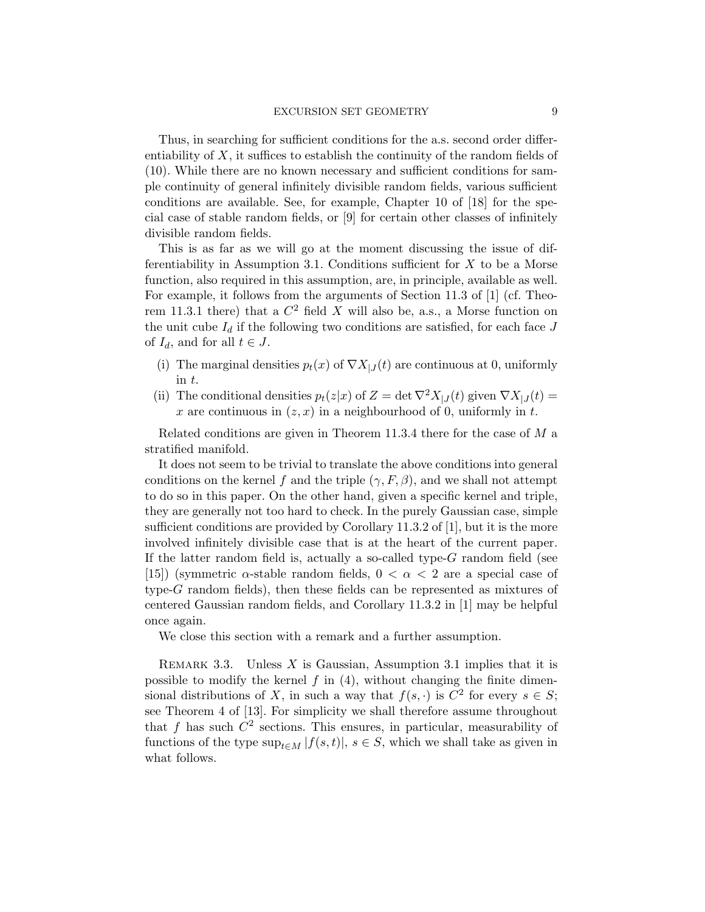Thus, in searching for sufficient conditions for the a.s. second order differentiability of  $X$ , it suffices to establish the continuity of the random fields of [\(10\)](#page-7-0). While there are no known necessary and sufficient conditions for sample continuity of general infinitely divisible random fields, various sufficient conditions are available. See, for example, Chapter 10 of [\[18\]](#page-41-5) for the special case of stable random fields, or [\[9\]](#page-41-6) for certain other classes of infinitely divisible random fields.

This is as far as we will go at the moment discussing the issue of dif-ferentiability in Assumption [3.1.](#page-6-0) Conditions sufficient for  $X$  to be a Morse function, also required in this assumption, are, in principle, available as well. For example, it follows from the arguments of Section 11.3 of [\[1\]](#page-41-0) (cf. Theorem 11.3.1 there) that a  $C^2$  field X will also be, a.s., a Morse function on the unit cube  $I_d$  if the following two conditions are satisfied, for each face  $J$ of  $I_d$ , and for all  $t \in J$ .

- (i) The marginal densities  $p_t(x)$  of  $\nabla X_{|J}(t)$  are continuous at 0, uniformly in t.
- (ii) The conditional densities  $p_t(z|x)$  of  $Z = \det \nabla^2 X_{|J}(t)$  given  $\nabla X_{|J}(t) =$ x are continuous in  $(z, x)$  in a neighbourhood of 0, uniformly in t.

Related conditions are given in Theorem 11.3.4 there for the case of M a stratified manifold.

It does not seem to be trivial to translate the above conditions into general conditions on the kernel f and the triple  $(\gamma, F, \beta)$ , and we shall not attempt to do so in this paper. On the other hand, given a specific kernel and triple, they are generally not too hard to check. In the purely Gaussian case, simple sufficient conditions are provided by Corollary 11.3.2 of [\[1\]](#page-41-0), but it is the more involved infinitely divisible case that is at the heart of the current paper. If the latter random field is, actually a so-called type-G random field (see [\[15\]](#page-41-7)) (symmetric  $\alpha$ -stable random fields,  $0 < \alpha < 2$  are a special case of type-G random fields), then these fields can be represented as mixtures of centered Gaussian random fields, and Corollary 11.3.2 in [\[1\]](#page-41-0) may be helpful once again.

We close this section with a remark and a further assumption.

<span id="page-8-0"></span>REMARK 3.3. Unless  $X$  is Gaussian, Assumption [3.1](#page-6-0) implies that it is possible to modify the kernel  $f$  in  $(4)$ , without changing the finite dimensional distributions of X, in such a way that  $f(s, \cdot)$  is  $C^2$  for every  $s \in S$ ; see Theorem 4 of [\[13\]](#page-41-8). For simplicity we shall therefore assume throughout that f has such  $C^2$  sections. This ensures, in particular, measurability of functions of the type  $\sup_{t \in M} |f(s, t)|$ ,  $s \in S$ , which we shall take as given in what follows.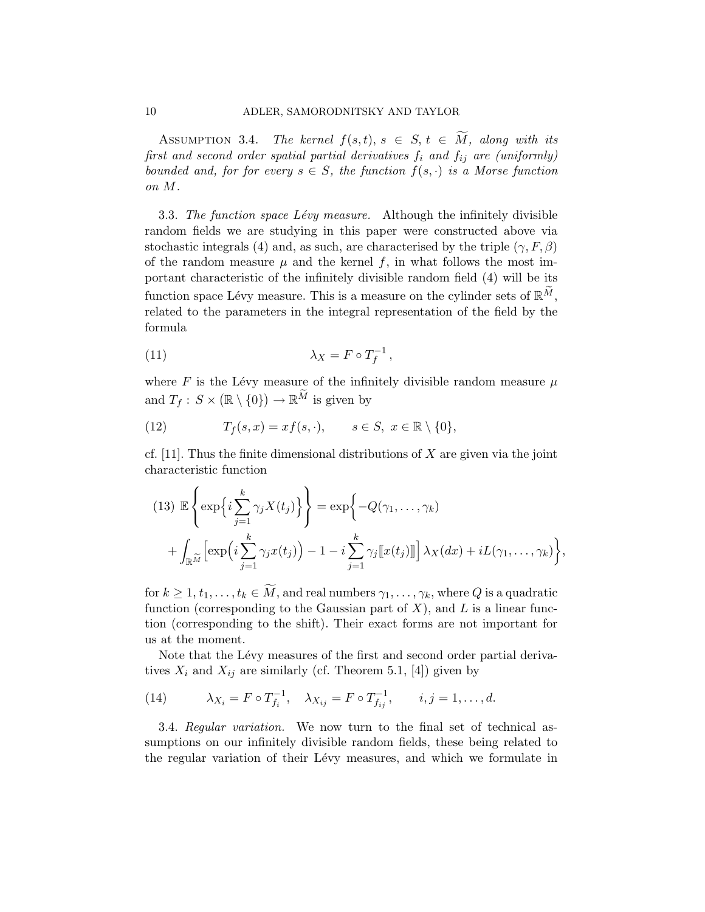ASSUMPTION 3.4. The kernel  $f(s,t), s \in S$ ,  $t \in \widetilde{M}$ , along with its first and second order spatial partial derivatives  $f_i$  and  $f_{ij}$  are (uniformly) bounded and, for for every  $s \in S$ , the function  $f(s, \cdot)$  is a Morse function on M.

<span id="page-9-0"></span>3.3. The function space Lévy measure. Although the infinitely divisible random fields we are studying in this paper were constructed above via stochastic integrals [\(4\)](#page-3-1) and, as such, are characterised by the triple  $(\gamma, F, \beta)$ of the random measure  $\mu$  and the kernel f, in what follows the most important characteristic of the infinitely divisible random field [\(4\)](#page-3-1) will be its function space Lévy measure. This is a measure on the cylinder sets of  $\mathbb{R}^M$ , related to the parameters in the integral representation of the field by the formula

<span id="page-9-1"></span>
$$
\lambda_X = F \circ T_f^{-1},
$$

where F is the Lévy measure of the infinitely divisible random measure  $\mu$ and  $T_f: S \times (\mathbb{R} \setminus \{0\}) \to \mathbb{R}^M$  is given by

(12) 
$$
T_f(s,x) = xf(s,\cdot), \qquad s \in S, \ x \in \mathbb{R} \setminus \{0\},
$$

cf. [\[11\]](#page-41-2). Thus the finite dimensional distributions of  $X$  are given via the joint characteristic function

<span id="page-9-3"></span>
$$
(13) \mathbb{E}\left\{\exp\left\{i\sum_{j=1}^{k}\gamma_{j}X(t_{j})\right\}\right\} = \exp\left\{-Q(\gamma_{1},...,\gamma_{k})+\int_{\mathbb{R}^{\widetilde{M}}}\left[\exp\left(i\sum_{j=1}^{k}\gamma_{j}x(t_{j})\right)-1-i\sum_{j=1}^{k}\gamma_{j}\left[\left[x(t_{j})\right]\right]\right]\lambda_{X}(dx)+iL(\gamma_{1},...,\gamma_{k})\right\},
$$

for  $k \geq 1, t_1, \ldots, t_k \in \widetilde{M}$ , and real numbers  $\gamma_1, \ldots, \gamma_k$ , where Q is a quadratic function (corresponding to the Gaussian part of  $X$ ), and  $L$  is a linear function (corresponding to the shift). Their exact forms are not important for us at the moment.

Note that the Lévy measures of the first and second order partial derivatives  $X_i$  and  $X_{ij}$  are similarly (cf. Theorem 5.1, [\[4\]](#page-41-4)) given by

<span id="page-9-2"></span>(14) 
$$
\lambda_{X_i} = F \circ T_{f_i}^{-1}, \quad \lambda_{X_{ij}} = F \circ T_{f_{ij}}^{-1}, \quad i, j = 1, ..., d.
$$

3.4. Regular variation. We now turn to the final set of technical assumptions on our infinitely divisible random fields, these being related to the regular variation of their Lévy measures, and which we formulate in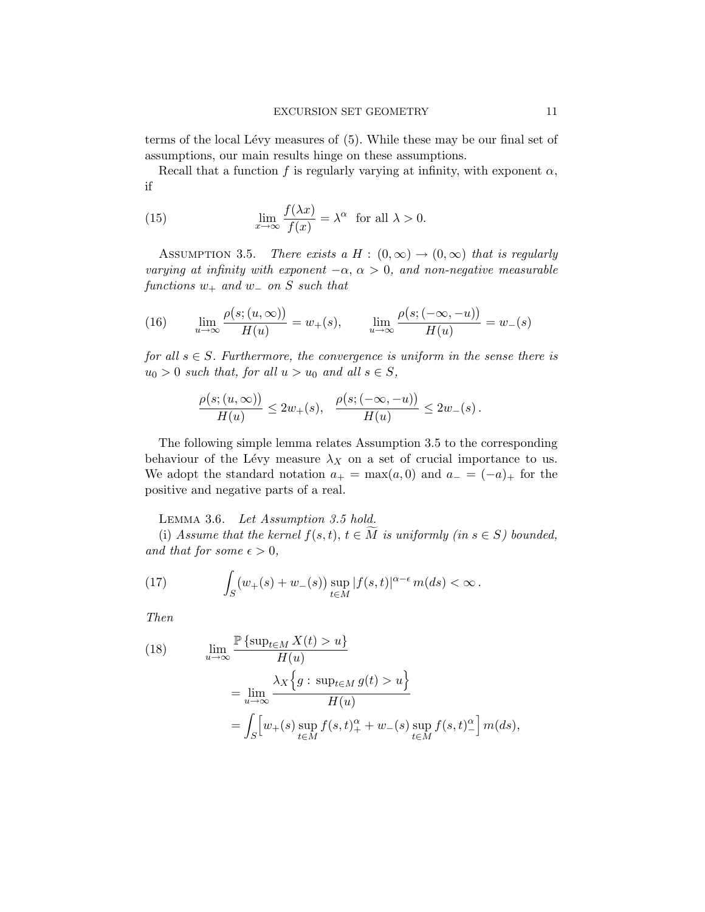terms of the local Lévy measures of [\(5\)](#page-4-0). While these may be our final set of assumptions, our main results hinge on these assumptions.

Recall that a function f is regularly varying at infinity, with exponent  $\alpha$ , if

(15) 
$$
\lim_{x \to \infty} \frac{f(\lambda x)}{f(x)} = \lambda^{\alpha} \text{ for all } \lambda > 0.
$$

<span id="page-10-0"></span>ASSUMPTION 3.5. There exists a H :  $(0, \infty) \rightarrow (0, \infty)$  that is regularly varying at infinity with exponent  $-\alpha$ ,  $\alpha > 0$ , and non-negative measurable functions  $w_+$  and  $w_-$  on S such that

(16) 
$$
\lim_{u \to \infty} \frac{\rho(s; (u, \infty))}{H(u)} = w_+(s), \qquad \lim_{u \to \infty} \frac{\rho(s; (-\infty, -u))}{H(u)} = w_-(s)
$$

for all  $s \in S$ . Furthermore, the convergence is uniform in the sense there is  $u_0 > 0$  such that, for all  $u > u_0$  and all  $s \in S$ ,

$$
\frac{\rho(s;(u,\infty))}{H(u)} \leq 2w_+(s), \quad \frac{\rho(s;(-\infty,-u))}{H(u)} \leq 2w_-(s).
$$

The following simple lemma relates Assumption [3.5](#page-10-0) to the corresponding behaviour of the Lévy measure  $\lambda_X$  on a set of crucial importance to us. We adopt the standard notation  $a_{+} = \max(a, 0)$  and  $a_{-} = (-a)_{+}$  for the positive and negative parts of a real.

<span id="page-10-3"></span>Lemma 3.6. Let Assumption [3.5](#page-10-0) hold.

(i) Assume that the kernel  $f(s, t)$ ,  $t \in \overline{M}$  is uniformly (in  $s \in S$ ) bounded, and that for some  $\epsilon > 0$ ,

<span id="page-10-2"></span>(17) 
$$
\int_{S} (w_{+}(s) + w_{-}(s)) \sup_{t \in M} |f(s,t)|^{\alpha - \epsilon} m(ds) < \infty.
$$

Then

<span id="page-10-1"></span>(18) 
$$
\lim_{u \to \infty} \frac{\mathbb{P}\left\{\sup_{t \in M} X(t) > u\right\}}{H(u)}
$$

$$
= \lim_{u \to \infty} \frac{\lambda_X \left\{g : \sup_{t \in M} g(t) > u\right\}}{H(u)}
$$

$$
= \int_S \left[w_+(s) \sup_{t \in M} f(s, t)_+^{\alpha} + w_-(s) \sup_{t \in M} f(s, t)_-^{\alpha}\right] m(ds),
$$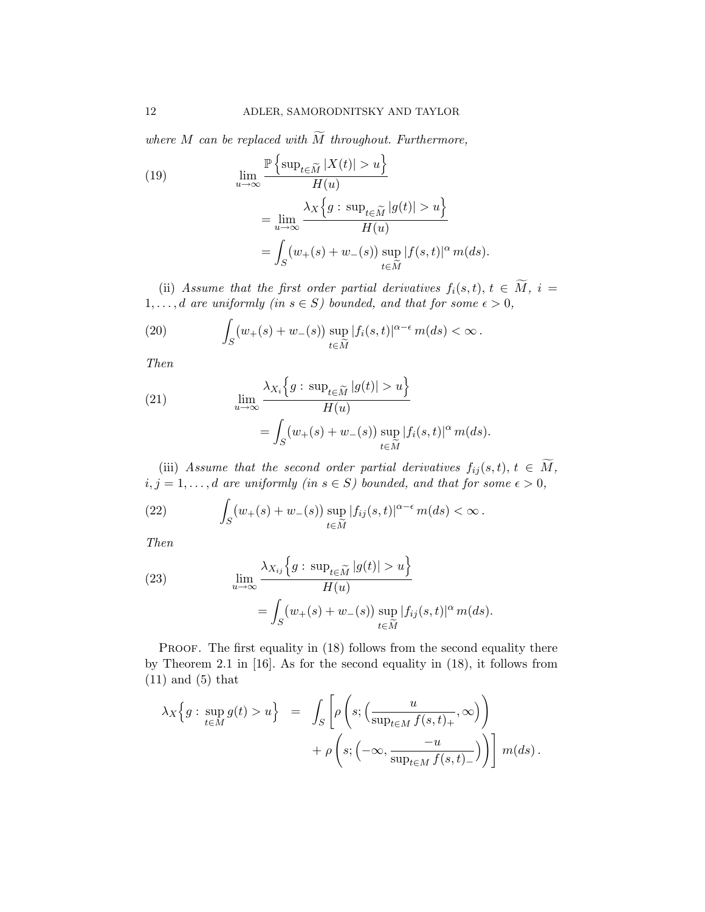where M can be replaced with  $\widetilde{M}$  throughout. Furthermore,

<span id="page-11-0"></span>(19)  
\n
$$
\lim_{u \to \infty} \frac{\mathbb{P}\left\{\sup_{t \in \widetilde{M}} |X(t)| > u\right\}}{H(u)}
$$
\n
$$
= \lim_{u \to \infty} \frac{\lambda_X \left\{g : \sup_{t \in \widetilde{M}} |g(t)| > u\right\}}{H(u)}
$$
\n
$$
= \int_S (w_+(s) + w_-(s)) \sup_{t \in \widetilde{M}} |f(s,t)|^\alpha m(ds).
$$

(ii) Assume that the first order partial derivatives  $f_i(s,t)$ ,  $t \in M$ ,  $i =$  $1, \ldots, d$  are uniformly (in  $s \in S$ ) bounded, and that for some  $\epsilon > 0$ ,

(20) 
$$
\int_{S} (w_{+}(s) + w_{-}(s)) \sup_{t \in \widetilde{M}} |f_{i}(s,t)|^{\alpha-\epsilon} m(ds) < \infty.
$$

Then

(21) 
$$
\lim_{u \to \infty} \frac{\lambda_{X_i} \left\{ g : \sup_{t \in \widetilde{M}} |g(t)| > u \right\}}{H(u)} = \int_S (w_+(s) + w_-(s)) \sup_{t \in \widetilde{M}} |f_i(s,t)|^{\alpha} m(ds).
$$

(iii) Assume that the second order partial derivatives  $f_{ij}(s,t)$ ,  $t \in M$ ,  $i, j = 1, \ldots, d$  are uniformly (in  $s \in S$ ) bounded, and that for some  $\epsilon > 0$ ,

(22) 
$$
\int_{S} (w_{+}(s) + w_{-}(s)) \sup_{t \in \widetilde{M}} |f_{ij}(s,t)|^{\alpha-\epsilon} m(ds) < \infty.
$$

Then

(23) 
$$
\lim_{u \to \infty} \frac{\lambda_{X_{ij}}\left\{g : \sup_{t \in \widetilde{M}} |g(t)| > u\right\}}{H(u)} = \int_{S} (w_{+}(s) + w_{-}(s)) \sup_{t \in \widetilde{M}} |f_{ij}(s, t)|^{\alpha} m(ds).
$$

PROOF. The first equality in [\(18\)](#page-10-1) follows from the second equality there by Theorem 2.1 in [\[16\]](#page-41-9). As for the second equality in [\(18\)](#page-10-1), it follows from [\(11\)](#page-9-1) and [\(5\)](#page-4-0) that

$$
\lambda_X\Big\{g: \sup_{t\in M} g(t) > u\Big\} = \int_S \left[\rho\left(s; \Big(\frac{u}{\sup_{t\in M} f(s,t)_+}, \infty\Big)\right) + \rho\left(s; \Big(-\infty, \frac{-u}{\sup_{t\in M} f(s,t)_-}\Big)\right)\right] m(ds).
$$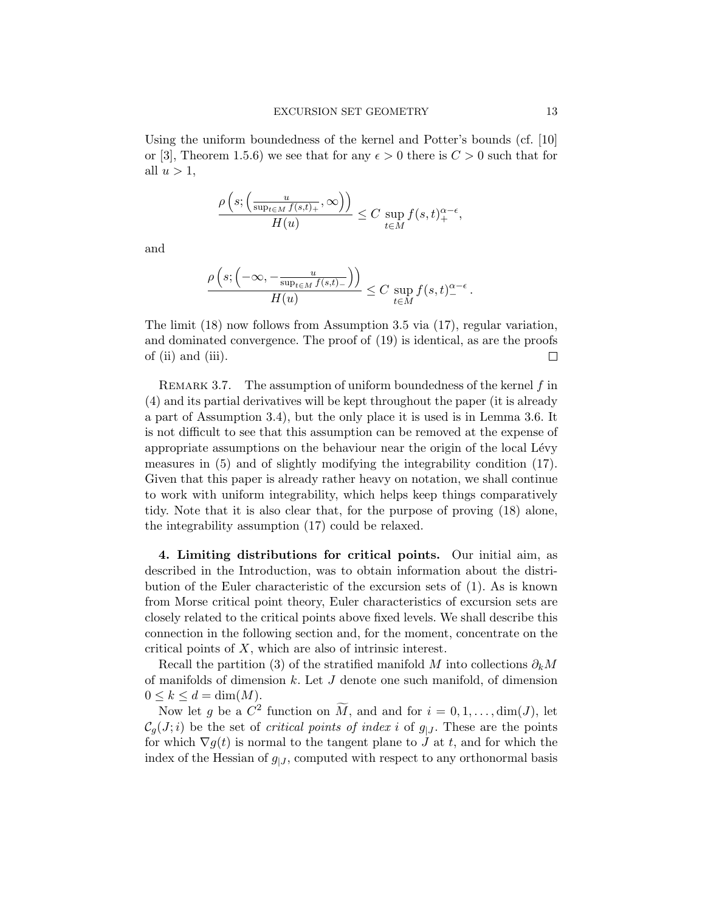Using the uniform boundedness of the kernel and Potter's bounds (cf. [\[10\]](#page-41-10) or [\[3\]](#page-41-11), Theorem 1.5.6) we see that for any  $\epsilon > 0$  there is  $C > 0$  such that for all  $u > 1$ ,

$$
\frac{\rho\left(s; \left(\frac{u}{\sup_{t \in M} f(s,t)_+}, \infty\right)\right)}{H(u)} \le C \sup_{t \in M} f(s,t)_+^{\alpha-\epsilon},
$$

and

$$
\frac{\rho\left(s;\left(-\infty, -\frac{u}{\sup_{t\in M}f(s,t)_-}\right)\right)}{H(u)} \leq C \sup_{t\in M}f(s,t)_-^{\alpha-\epsilon}.
$$

The limit [\(18\)](#page-10-1) now follows from Assumption [3.5](#page-10-0) via [\(17\)](#page-10-2), regular variation, and dominated convergence. The proof of [\(19\)](#page-11-0) is identical, as are the proofs of (ii) and (iii).  $\Box$ 

REMARK 3.7. The assumption of uniform boundedness of the kernel  $f$  in [\(4\)](#page-3-1) and its partial derivatives will be kept throughout the paper (it is already a part of Assumption [3.4\)](#page-8-0), but the only place it is used is in Lemma [3.6.](#page-10-3) It is not difficult to see that this assumption can be removed at the expense of appropriate assumptions on the behaviour near the origin of the local Lévy measures in [\(5\)](#page-4-0) and of slightly modifying the integrability condition [\(17\)](#page-10-2). Given that this paper is already rather heavy on notation, we shall continue to work with uniform integrability, which helps keep things comparatively tidy. Note that it is also clear that, for the purpose of proving [\(18\)](#page-10-1) alone, the integrability assumption [\(17\)](#page-10-2) could be relaxed.

<span id="page-12-0"></span>4. Limiting distributions for critical points. Our initial aim, as described in the Introduction, was to obtain information about the distribution of the Euler characteristic of the excursion sets of [\(1\)](#page-1-0). As is known from Morse critical point theory, Euler characteristics of excursion sets are closely related to the critical points above fixed levels. We shall describe this connection in the following section and, for the moment, concentrate on the critical points of X, which are also of intrinsic interest.

Recall the partition [\(3\)](#page-2-1) of the stratified manifold M into collections  $\partial_k M$ of manifolds of dimension  $k$ . Let  $J$  denote one such manifold, of dimension  $0 \le k \le d = \dim(M)$ .

Now let g be a  $C^2$  function on  $\widetilde{M}$ , and and for  $i = 0, 1, ..., \dim(J)$ , let  $\mathcal{C}_q(J; i)$  be the set of *critical points of index i* of  $g_{|J}$ . These are the points for which  $\nabla g(t)$  is normal to the tangent plane to J at t, and for which the index of the Hessian of  $g_{|J}$ , computed with respect to any orthonormal basis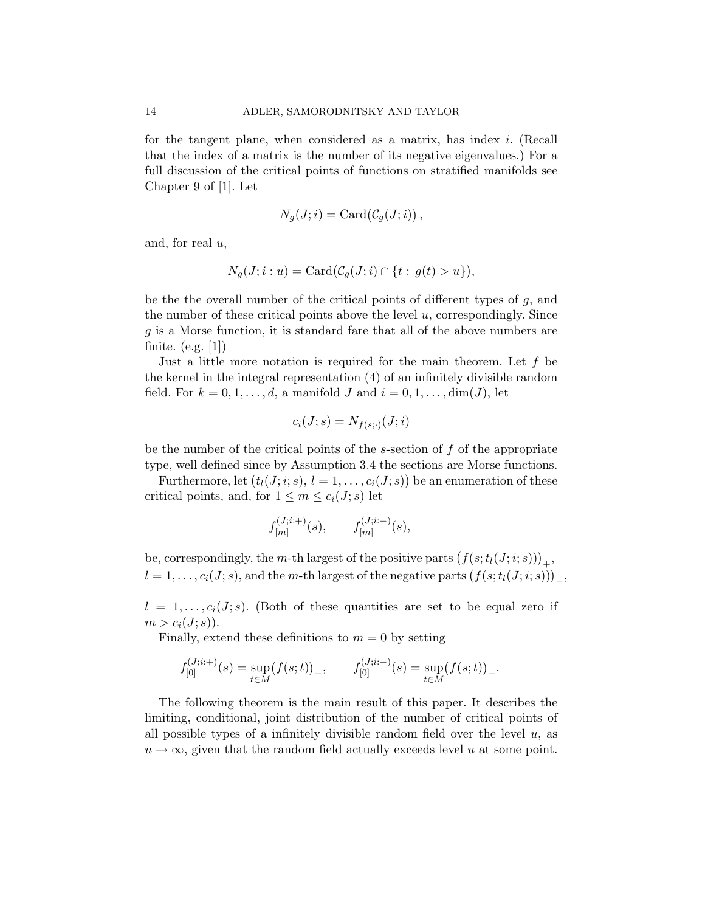for the tangent plane, when considered as a matrix, has index i. (Recall that the index of a matrix is the number of its negative eigenvalues.) For a full discussion of the critical points of functions on stratified manifolds see Chapter 9 of [\[1\]](#page-41-0). Let

$$
N_g(J;i) = \text{Card}(\mathcal{C}_g(J;i)),
$$

and, for real  $u$ ,

$$
N_g(J; i: u) = \text{Card}(\mathcal{C}_g(J; i) \cap \{t: g(t) > u\}),
$$

be the the overall number of the critical points of different types of  $q$ , and the number of these critical points above the level  $u$ , correspondingly. Since g is a Morse function, it is standard fare that all of the above numbers are finite. (e.g. [\[1\]](#page-41-0))

Just a little more notation is required for the main theorem. Let  $f$  be the kernel in the integral representation [\(4\)](#page-3-1) of an infinitely divisible random field. For  $k = 0, 1, \ldots, d$ , a manifold J and  $i = 0, 1, \ldots, \dim(J)$ , let

$$
c_i(J;s) = N_{f(s;\cdot)}(J;i)
$$

be the number of the critical points of the s-section of  $f$  of the appropriate type, well defined since by Assumption [3.4](#page-8-0) the sections are Morse functions.

Furthermore, let  $(t_l(J;i;s), l = 1, \ldots, c_i(J;s))$  be an enumeration of these critical points, and, for  $1 \leq m \leq c_i(J; s)$  let

$$
f_{[m]}^{(J;i;+)}(s), \qquad f_{[m]}^{(J;i;-)}(s),
$$

be, correspondingly, the *m*-th largest of the positive parts  $(f(s; t_l(J; i; s)))_+,$  $l = 1, \ldots, c_i(J; s)$ , and the m-th largest of the negative parts  $(f(s; t_l(J; i; s)))_-,$ 

 $l = 1, \ldots, c_i(J; s)$ . (Both of these quantities are set to be equal zero if  $m > c_i(J; s)$ .

Finally, extend these definitions to  $m = 0$  by setting

$$
f_{[0]}^{(J;i+)}(s) = \sup_{t \in M} (f(s;t))_+, \qquad f_{[0]}^{(J;i-)}(s) = \sup_{t \in M} (f(s;t))_-.
$$

<span id="page-13-0"></span>The following theorem is the main result of this paper. It describes the limiting, conditional, joint distribution of the number of critical points of all possible types of a infinitely divisible random field over the level  $u$ , as  $u \to \infty$ , given that the random field actually exceeds level u at some point.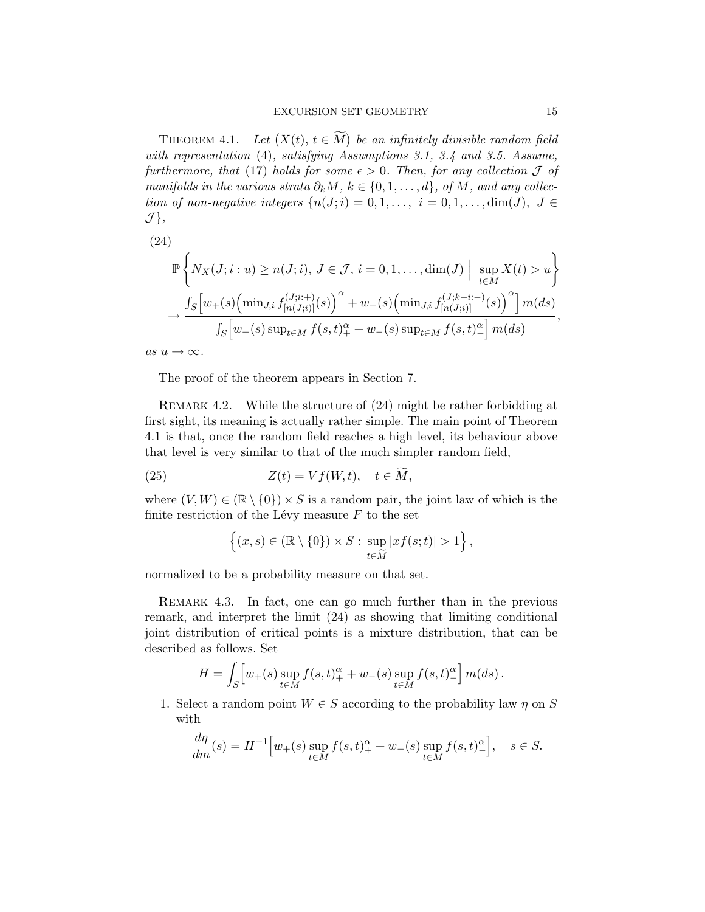THEOREM 4.1. Let  $(X(t), t \in \widetilde{M})$  be an infinitely divisible random field with representation [\(4\)](#page-3-1), satisfying Assumptions [3.1,](#page-6-0) [3.4](#page-8-0) and [3.5.](#page-10-0) Assume, furthermore, that [\(17\)](#page-10-2) holds for some  $\epsilon > 0$ . Then, for any collection  $\mathcal J$  of manifolds in the various strata  $\partial_k M$ ,  $k \in \{0, 1, \ldots, d\}$ , of M, and any collection of non-negative integers  $\{n(J;i) = 0, 1, \ldots, i = 0, 1, \ldots, \dim(J), J \in$  $\mathcal{J}\},\$ 

<span id="page-14-0"></span>(24)  
\n
$$
\mathbb{P}\left\{N_X(J;i:u) \ge n(J;i), J \in \mathcal{J}, i = 0, 1, ..., \dim(J) \mid \sup_{t \in M} X(t) > u\right\}
$$
\n
$$
\to \frac{\int_S \left[w_+(s) \left(\min_{J,i} f_{[n(J;i)]}^{(J;i+)}(s)\right)^\alpha + w_-(s) \left(\min_{J,i} f_{[n(J;i)]}^{(J;k-i:-)}(s)\right)^\alpha\right] m(ds)}{\int_S \left[w_+(s) \sup_{t \in M} f(s,t)_+^\alpha + w_-(s) \sup_{t \in M} f(s,t)_-^\alpha\right] m(ds)},
$$

as  $u \to \infty$ .

The proof of the theorem appears in Section [7.](#page-22-0)

REMARK 4.2. While the structure of  $(24)$  might be rather forbidding at first sight, its meaning is actually rather simple. The main point of Theorem [4.1](#page-13-0) is that, once the random field reaches a high level, its behaviour above that level is very similar to that of the much simpler random field,

(25) 
$$
Z(t) = Vf(W, t), \quad t \in \widetilde{M},
$$

where  $(V, W) \in (\mathbb{R} \setminus \{0\}) \times S$  is a random pair, the joint law of which is the finite restriction of the Lévy measure  $F$  to the set

$$
\left\{ (x,s) \in (\mathbb{R} \setminus \{0\}) \times S : \sup_{t \in \widetilde{M}} |xf(s;t)| > 1 \right\},\
$$

normalized to be a probability measure on that set.

<span id="page-14-1"></span>REMARK 4.3. In fact, one can go much further than in the previous remark, and interpret the limit [\(24\)](#page-14-0) as showing that limiting conditional joint distribution of critical points is a mixture distribution, that can be described as follows. Set

$$
H = \int_{S} \left[ w_{+}(s) \sup_{t \in M} f(s,t)_{+}^{\alpha} + w_{-}(s) \sup_{t \in M} f(s,t)_{-}^{\alpha} \right] m(ds).
$$

1. Select a random point  $W \in S$  according to the probability law  $\eta$  on S with

$$
\frac{d\eta}{dm}(s) = H^{-1} \Big[ w_+(s) \sup_{t \in M} f(s, t)^\alpha_+ + w_-(s) \sup_{t \in M} f(s, t)^\alpha_- \Big], \quad s \in S.
$$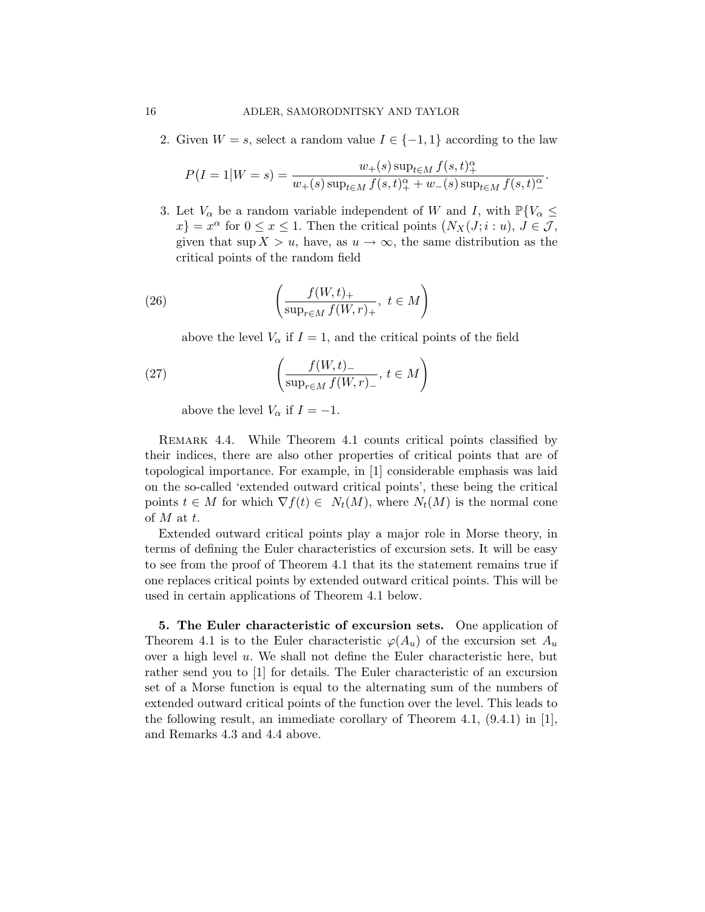2. Given  $W = s$ , select a random value  $I \in \{-1, 1\}$  according to the law

$$
P(I = 1|W = s) = \frac{w_{+}(s) \sup_{t \in M} f(s, t)_{+}^{\alpha}}{w_{+}(s) \sup_{t \in M} f(s, t)_{+}^{\alpha} + w_{-}(s) \sup_{t \in M} f(s, t)_{-}^{\alpha}}.
$$

3. Let  $V_{\alpha}$  be a random variable independent of W and I, with  $\mathbb{P}\{V_{\alpha} \leq$  $x\} = x^{\alpha}$  for  $0 \le x \le 1$ . Then the critical points  $(N_X(J; i : u), J \in \mathcal{J},$ given that sup  $X > u$ , have, as  $u \to \infty$ , the same distribution as the critical points of the random field

(26) 
$$
\left(\frac{f(W,t)_+}{\sup_{r\in M} f(W,r)_+}, t \in M\right)
$$

<span id="page-15-3"></span><span id="page-15-2"></span>above the level  $V_{\alpha}$  if  $I = 1$ , and the critical points of the field

(27) 
$$
\left(\frac{f(W,t)_-}{\sup_{r\in M} f(W,r)_-}, t\in M\right)
$$

above the level  $V_{\alpha}$  if  $I = -1$ .

<span id="page-15-1"></span>Remark 4.4. While Theorem [4.1](#page-13-0) counts critical points classified by their indices, there are also other properties of critical points that are of topological importance. For example, in [\[1\]](#page-41-0) considerable emphasis was laid on the so-called 'extended outward critical points', these being the critical points  $t \in M$  for which  $\nabla f(t) \in N_t(M)$ , where  $N_t(M)$  is the normal cone of M at t.

Extended outward critical points play a major role in Morse theory, in terms of defining the Euler characteristics of excursion sets. It will be easy to see from the proof of Theorem [4.1](#page-13-0) that its the statement remains true if one replaces critical points by extended outward critical points. This will be used in certain applications of Theorem [4.1](#page-13-0) below.

<span id="page-15-4"></span><span id="page-15-0"></span>5. The Euler characteristic of excursion sets. One application of Theorem [4.1](#page-13-0) is to the Euler characteristic  $\varphi(A_u)$  of the excursion set  $A_u$ over a high level  $u$ . We shall not define the Euler characteristic here, but rather send you to [\[1\]](#page-41-0) for details. The Euler characteristic of an excursion set of a Morse function is equal to the alternating sum of the numbers of extended outward critical points of the function over the level. This leads to the following result, an immediate corollary of Theorem [4.1,](#page-13-0)  $(9.4.1)$  in [\[1\]](#page-41-0), and Remarks [4.3](#page-14-1) and [4.4](#page-15-1) above.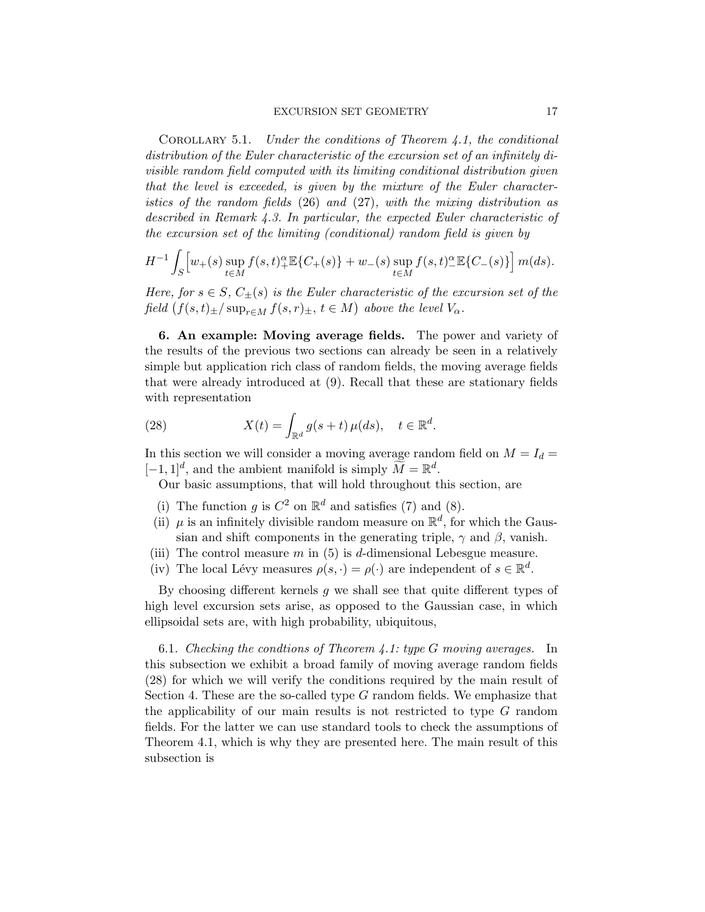COROLLARY 5.1. Under the conditions of Theorem [4.1,](#page-13-0) the conditional distribution of the Euler characteristic of the excursion set of an infinitely divisible random field computed with its limiting conditional distribution given that the level is exceeded, is given by the mixture of the Euler characteristics of the random fields [\(26\)](#page-15-2) and [\(27\)](#page-15-3), with the mixing distribution as described in Remark [4.3.](#page-14-1) In particular, the expected Euler characteristic of the excursion set of the limiting (conditional) random field is given by

$$
H^{-1} \int_{S} \left[ w_{+}(s) \sup_{t \in M} f(s,t)_{+}^{\alpha} \mathbb{E} \{ C_{+}(s) \} + w_{-}(s) \sup_{t \in M} f(s,t)_{-}^{\alpha} \mathbb{E} \{ C_{-}(s) \} \right] m(ds).
$$

Here, for  $s \in S$ ,  $C_{+}(s)$  is the Euler characteristic of the excursion set of the field  $(f(s,t)_\pm/\sup_{r\in M}f(s,r)_\pm, t\in M)$  above the level  $V_\alpha$ .

<span id="page-16-0"></span>6. An example: Moving average fields. The power and variety of the results of the previous two sections can already be seen in a relatively simple but application rich class of random fields, the moving average fields that were already introduced at [\(9\)](#page-5-1). Recall that these are stationary fields with representation

(28) 
$$
X(t) = \int_{\mathbb{R}^d} g(s+t) \,\mu(ds), \quad t \in \mathbb{R}^d.
$$

In this section we will consider a moving average random field on  $M = I_d =$  $[-1, 1]^d$ , and the ambient manifold is simply  $\widetilde{M} = \mathbb{R}^d$ .

<span id="page-16-1"></span>Our basic assumptions, that will hold throughout this section, are

- (i) The function g is  $C^2$  on  $\mathbb{R}^d$  and satisfies [\(7\)](#page-5-0) and [\(8\)](#page-5-2).
- (ii)  $\mu$  is an infinitely divisible random measure on  $\mathbb{R}^d$ , for which the Gaussian and shift components in the generating triple,  $\gamma$  and  $\beta$ , vanish.
- (iii) The control measure m in  $(5)$  is d-dimensional Lebesgue measure.
- (iv) The local Lévy measures  $\rho(s, \cdot) = \rho(\cdot)$  are independent of  $s \in \mathbb{R}^d$ .

By choosing different kernels  $q$  we shall see that quite different types of high level excursion sets arise, as opposed to the Gaussian case, in which ellipsoidal sets are, with high probability, ubiquitous,

<span id="page-16-2"></span>6.1. Checking the condtions of Theorem [4.1:](#page-13-0) type  $G$  moving averages. In this subsection we exhibit a broad family of moving average random fields [\(28\)](#page-16-1) for which we will verify the conditions required by the main result of Section [4.](#page-12-0) These are the so-called type G random fields. We emphasize that the applicability of our main results is not restricted to type G random fields. For the latter we can use standard tools to check the assumptions of Theorem [4.1,](#page-13-0) which is why they are presented here. The main result of this subsection is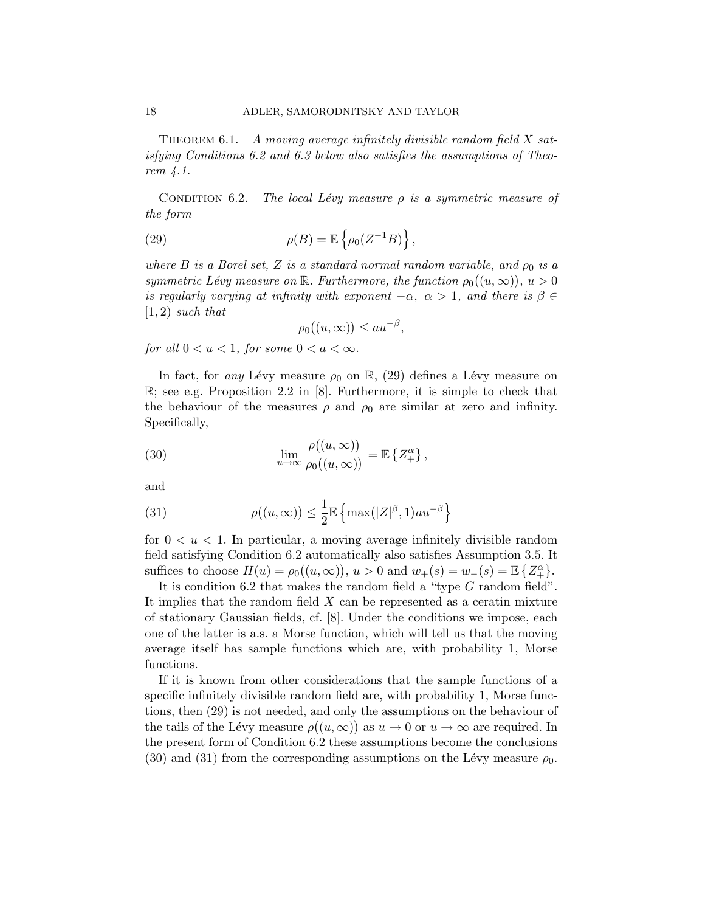THEOREM 6.1. A moving average infinitely divisible random field  $X$  satisfying Conditions [6.2](#page-17-0) and [6.3](#page-17-1) below also satisfies the assumptions of Theorem [4.1.](#page-13-0)

<span id="page-17-0"></span>CONDITION 6.2. The local Lévy measure  $\rho$  is a symmetric measure of the form

(29) 
$$
\rho(B) = \mathbb{E}\left\{\rho_0(Z^{-1}B)\right\},\,
$$

where B is a Borel set, Z is a standard normal random variable, and  $\rho_0$  is a symmetric Lévy measure on  $\mathbb R$ . Furthermore, the function  $\rho_0((u,\infty)), u > 0$ is regularly varying at infinity with exponent  $-\alpha$ ,  $\alpha > 1$ , and there is  $\beta \in$  $(1, 2)$  such that

<span id="page-17-3"></span><span id="page-17-2"></span>
$$
\rho_0((u,\infty)) \le au^{-\beta},
$$

for all  $0 < u < 1$ , for some  $0 < a < \infty$ .

In fact, for any Lévy measure  $\rho_0$  on R, [\(29\)](#page-17-2) defines a Lévy measure on  $\mathbb{R}$ ; see e.g. Proposition 2.2 in [\[8\]](#page-41-12). Furthermore, it is simple to check that the behaviour of the measures  $\rho$  and  $\rho_0$  are similar at zero and infinity. Specifically,

(30) 
$$
\lim_{u \to \infty} \frac{\rho((u, \infty))}{\rho_0((u, \infty))} = \mathbb{E} \left\{ Z_+^{\alpha} \right\},
$$

and

<span id="page-17-4"></span>(31) 
$$
\rho((u,\infty)) \leq \frac{1}{2} \mathbb{E} \left\{ \max(|Z|^{\beta},1)au^{-\beta} \right\}
$$

for  $0 \lt u \lt 1$ . In particular, a moving average infinitely divisible random field satisfying Condition [6.2](#page-17-0) automatically also satisfies Assumption [3.5.](#page-10-0) It suffices to choose  $H(u) = \rho_0((u, \infty)), u > 0$  and  $w_+(s) = w_-(s) = \mathbb{E} \{Z_+^{\alpha}\}.$ 

It is condition [6.2](#page-17-0) that makes the random field a "type G random field". It implies that the random field  $X$  can be represented as a ceratin mixture of stationary Gaussian fields, cf. [\[8\]](#page-41-12). Under the conditions we impose, each one of the latter is a.s. a Morse function, which will tell us that the moving average itself has sample functions which are, with probability 1, Morse functions.

<span id="page-17-1"></span>If it is known from other considerations that the sample functions of a specific infinitely divisible random field are, with probability 1, Morse functions, then [\(29\)](#page-17-2) is not needed, and only the assumptions on the behaviour of the tails of the Lévy measure  $\rho((u,\infty))$  as  $u\to 0$  or  $u\to\infty$  are required. In the present form of Condition [6.2](#page-17-0) these assumptions become the conclusions [\(30\)](#page-17-3) and [\(31\)](#page-17-4) from the corresponding assumptions on the Lévy measure  $\rho_0$ .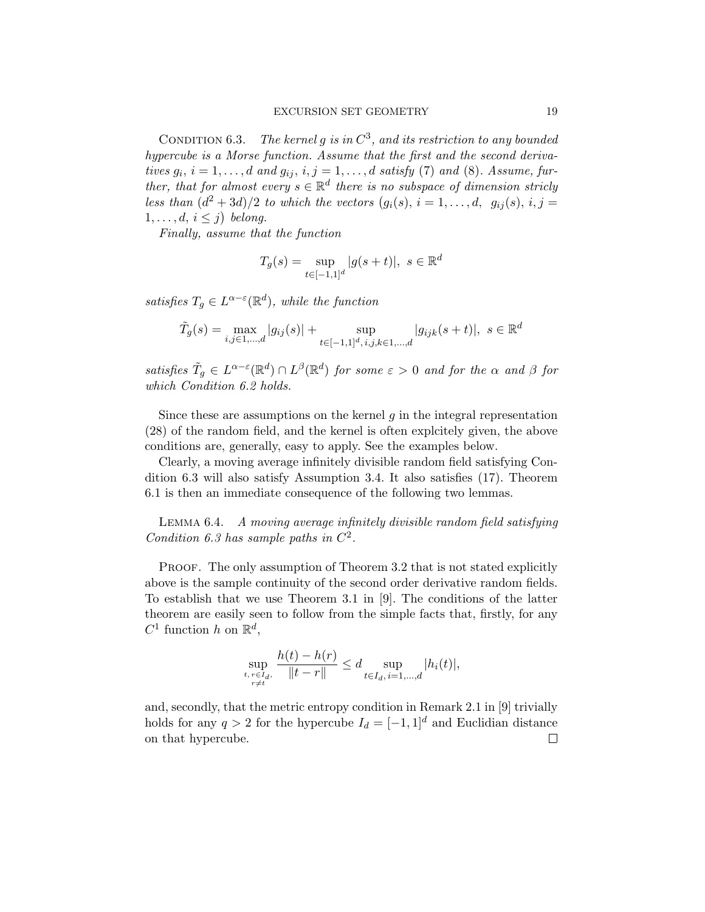CONDITION 6.3. The kernel g is in  $C^3$ , and its restriction to any bounded hypercube is a Morse function. Assume that the first and the second derivatives  $g_i$ ,  $i = 1, \ldots, d$  and  $g_{ij}$ ,  $i, j = 1, \ldots, d$  satisfy [\(7\)](#page-5-0) and [\(8\)](#page-5-2). Assume, further, that for almost every  $s \in \mathbb{R}^d$  there is no subspace of dimension stricly less than  $(d^2+3d)/2$  to which the vectors  $(g_i(s), i = 1, \ldots, d, g_{ij}(s), i, j =$  $1, \ldots, d, i \leq j$ ) belong.

Finally, assume that the function

$$
T_g(s) = \sup_{t \in [-1,1]^d} |g(s+t)|, \ s \in \mathbb{R}^d
$$

satisfies  $T_g \in L^{\alpha-\varepsilon}(\mathbb{R}^d)$ , while the function

$$
\tilde{T}_g(s) = \max_{i,j \in 1,\dots,d} |g_{ij}(s)| + \sup_{t \in [-1,1]^d, i,j,k \in 1,\dots,d} |g_{ijk}(s+t)|, \ s \in \mathbb{R}^d
$$

satisfies  $\tilde{T}_g \in L^{\alpha-\varepsilon}(\mathbb{R}^d) \cap L^{\beta}(\mathbb{R}^d)$  for some  $\varepsilon > 0$  and for the  $\alpha$  and  $\beta$  for which Condition [6.2](#page-17-0) holds.

Since these are assumptions on the kernel  $g$  in the integral representation [\(28\)](#page-16-1) of the random field, and the kernel is often explcitely given, the above conditions are, generally, easy to apply. See the examples below.

Clearly, a moving average infinitely divisible random field satisfying Condition [6.3](#page-17-1) will also satisfy Assumption [3.4.](#page-8-0) It also satisfies [\(17\)](#page-10-2). Theorem [6.1](#page-16-2) is then an immediate consequence of the following two lemmas.

<span id="page-18-0"></span>Lemma 6.4. A moving average infinitely divisible random field satisfying Condition [6.3](#page-17-1) has sample paths in  $C^2$ .

PROOF. The only assumption of Theorem [3.2](#page-6-1) that is not stated explicitly above is the sample continuity of the second order derivative random fields. To establish that we use Theorem 3.1 in [\[9\]](#page-41-6). The conditions of the latter theorem are easily seen to follow from the simple facts that, firstly, for any  $C^1$  function h on  $\mathbb{R}^d$ ,

$$
\sup_{\substack{t, r \in I_d, \\ r \neq t}} \frac{h(t) - h(r)}{\|t - r\|} \leq d \sup_{t \in I_d, i = 1, \dots, d} |h_i(t)|,
$$

and, secondly, that the metric entropy condition in Remark 2.1 in [\[9\]](#page-41-6) trivially holds for any  $q > 2$  for the hypercube  $I_d = [-1, 1]^d$  and Euclidian distance on that hypercube. $\Box$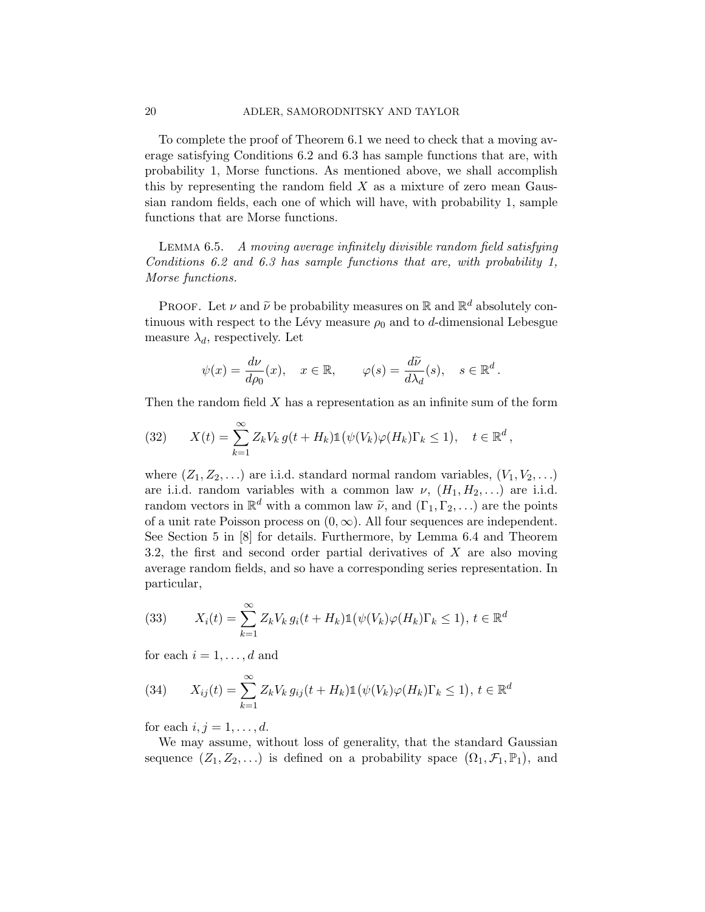To complete the proof of Theorem [6.1](#page-16-2) we need to check that a moving average satisfying Conditions [6.2](#page-17-0) and [6.3](#page-17-1) has sample functions that are, with probability 1, Morse functions. As mentioned above, we shall accomplish this by representing the random field  $X$  as a mixture of zero mean Gaussian random fields, each one of which will have, with probability 1, sample functions that are Morse functions.

Lemma 6.5. A moving average infinitely divisible random field satisfying Conditions [6.2](#page-17-0) and [6.3](#page-17-1) has sample functions that are, with probability 1, Morse functions.

PROOF. Let  $\nu$  and  $\tilde{\nu}$  be probability measures on  $\mathbb{R}$  and  $\mathbb{R}^d$  absolutely continuous with respect to the Lévy measure  $\rho_0$  and to d-dimensional Lebesgue measure  $\lambda_d$ , respectively. Let

$$
\psi(x) = \frac{d\nu}{d\rho_0}(x), \quad x \in \mathbb{R}, \qquad \varphi(s) = \frac{d\widetilde{\nu}}{d\lambda_d}(s), \quad s \in \mathbb{R}^d.
$$

Then the random field  $X$  has a representation as an infinite sum of the form

<span id="page-19-0"></span>(32) 
$$
X(t) = \sum_{k=1}^{\infty} Z_k V_k g(t + H_k) \mathbb{1}(\psi(V_k) \varphi(H_k) \Gamma_k \le 1), \quad t \in \mathbb{R}^d,
$$

where  $(Z_1, Z_2, \ldots)$  are i.i.d. standard normal random variables,  $(V_1, V_2, \ldots)$ are i.i.d. random variables with a common law  $\nu$ ,  $(H_1, H_2, ...)$  are i.i.d. random vectors in  $\mathbb{R}^d$  with a common law  $\tilde{\nu}$ , and  $(\Gamma_1, \Gamma_2, \ldots)$  are the points of a unit rate Poisson process on  $(0, \infty)$ . All four sequences are independent. See Section 5 in [\[8\]](#page-41-12) for details. Furthermore, by Lemma [6.4](#page-18-0) and Theorem [3.2,](#page-6-1) the first and second order partial derivatives of X are also moving average random fields, and so have a corresponding series representation. In particular,

<span id="page-19-2"></span>(33) 
$$
X_i(t) = \sum_{k=1}^{\infty} Z_k V_k g_i(t + H_k) \mathbb{1}(\psi(V_k)\varphi(H_k)\Gamma_k \le 1), t \in \mathbb{R}^d
$$

for each  $i = 1, \ldots, d$  and

<span id="page-19-1"></span>(34) 
$$
X_{ij}(t) = \sum_{k=1}^{\infty} Z_k V_k g_{ij}(t + H_k) \mathbb{1}(\psi(V_k)\varphi(H_k)\Gamma_k \le 1), t \in \mathbb{R}^d
$$

for each  $i, j = 1, \ldots, d$ .

We may assume, without loss of generality, that the standard Gaussian sequence  $(Z_1, Z_2, ...)$  is defined on a probability space  $(\Omega_1, \mathcal{F}_1, \mathbb{P}_1)$ , and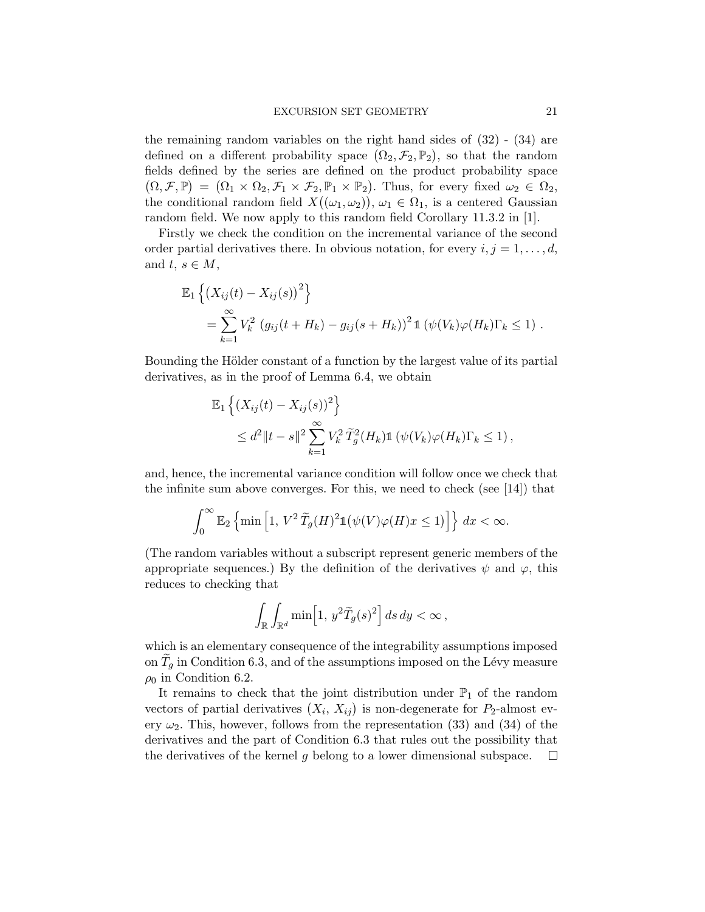the remaining random variables on the right hand sides of [\(32\)](#page-19-0) - [\(34\)](#page-19-1) are defined on a different probability space  $(\Omega_2, \mathcal{F}_2, \mathbb{P}_2)$ , so that the random fields defined by the series are defined on the product probability space  $(\Omega, \mathcal{F}, \mathbb{P}) = (\Omega_1 \times \Omega_2, \mathcal{F}_1 \times \mathcal{F}_2, \mathbb{P}_1 \times \mathbb{P}_2).$  Thus, for every fixed  $\omega_2 \in \Omega_2$ , the conditional random field  $X((\omega_1, \omega_2)), \omega_1 \in \Omega_1$ , is a centered Gaussian random field. We now apply to this random field Corollary 11.3.2 in [\[1\]](#page-41-0).

Firstly we check the condition on the incremental variance of the second order partial derivatives there. In obvious notation, for every  $i, j = 1, \ldots, d$ , and  $t, s \in M$ ,

$$
\mathbb{E}_{1}\left\{(X_{ij}(t) - X_{ij}(s))^{2}\right\}
$$
  
=  $\sum_{k=1}^{\infty} V_{k}^{2} (g_{ij}(t + H_{k}) - g_{ij}(s + H_{k}))^{2} \mathbb{1}(\psi(V_{k})\varphi(H_{k})\Gamma_{k} \le 1).$ 

Bounding the Hölder constant of a function by the largest value of its partial derivatives, as in the proof of Lemma [6.4,](#page-18-0) we obtain

$$
\mathbb{E}_1\left\{(X_{ij}(t) - X_{ij}(s))^2\right\}
$$
  
\n
$$
\leq d^2 \|t - s\|^2 \sum_{k=1}^{\infty} V_k^2 \widetilde{T}_g^2(H_k) \mathbb{1}\left(\psi(V_k)\varphi(H_k)\Gamma_k \leq 1\right),
$$

and, hence, the incremental variance condition will follow once we check that the infinite sum above converges. For this, we need to check (see [\[14\]](#page-41-13)) that

$$
\int_0^\infty \mathbb{E}_2\left\{\min\left[1, \, V^2 \,\widetilde{T}_g(H)^2 \mathbb{1}\big(\psi(V)\varphi(H)x \le 1\big)\right]\right\} dx < \infty.
$$

(The random variables without a subscript represent generic members of the appropriate sequences.) By the definition of the derivatives  $\psi$  and  $\varphi$ , this reduces to checking that

$$
\int_{\mathbb{R}} \int_{\mathbb{R}^d} \min\left[1, y^2 \widetilde{T}_g(s)^2\right] ds dy < \infty,
$$

which is an elementary consequence of the integrability assumptions imposed on  $T_g$  in Condition [6.3,](#page-17-1) and of the assumptions imposed on the Lévy measure  $\rho_0$  in Condition [6.2.](#page-17-0)

It remains to check that the joint distribution under  $\mathbb{P}_1$  of the random vectors of partial derivatives  $(X_i, X_{ij})$  is non-degenerate for  $P_2$ -almost every  $\omega_2$ . This, however, follows from the representation [\(33\)](#page-19-2) and [\(34\)](#page-19-1) of the derivatives and the part of Condition [6.3](#page-17-1) that rules out the possibility that the derivatives of the kernel  $q$  belong to a lower dimensional subspace.  $\Box$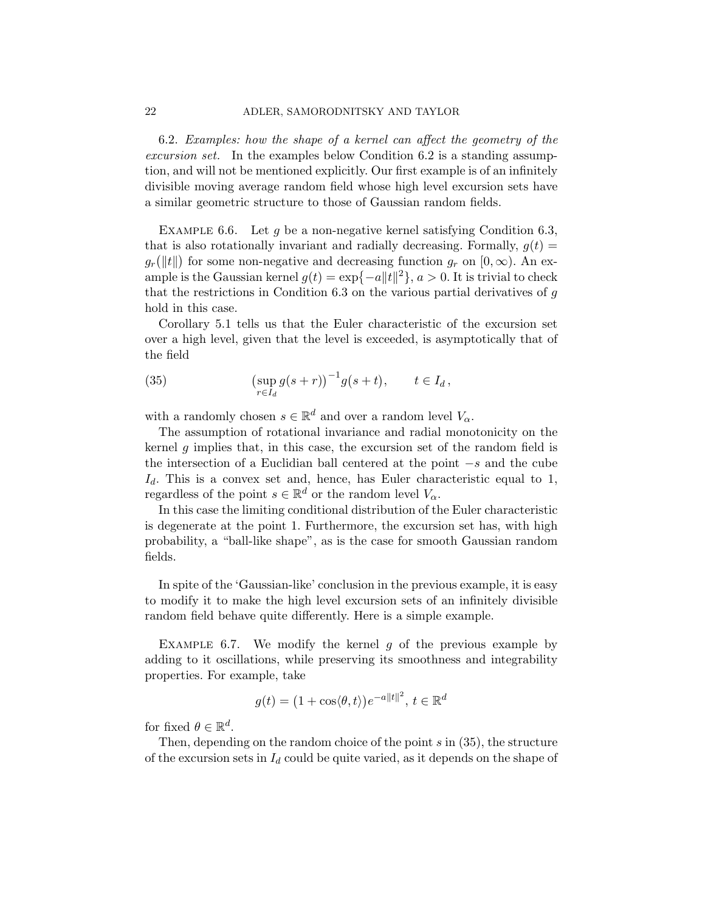<span id="page-21-0"></span>6.2. Examples: how the shape of a kernel can affect the geometry of the excursion set. In the examples below Condition [6.2](#page-17-0) is a standing assumption, and will not be mentioned explicitly. Our first example is of an infinitely divisible moving average random field whose high level excursion sets have a similar geometric structure to those of Gaussian random fields.

EXAMPLE 6.6. Let q be a non-negative kernel satisfying Condition [6.3,](#page-17-1) that is also rotationally invariant and radially decreasing. Formally,  $q(t)$  =  $g_r(\Vert t \Vert)$  for some non-negative and decreasing function  $g_r$  on  $[0, \infty)$ . An example is the Gaussian kernel  $g(t) = \exp\{-a||t||^2\}$ ,  $a > 0$ . It is trivial to check that the restrictions in Condition  $6.3$  on the various partial derivatives of  $g$ hold in this case.

Corollary [5.1](#page-15-4) tells us that the Euler characteristic of the excursion set over a high level, given that the level is exceeded, is asymptotically that of the field

<span id="page-21-1"></span>(35) 
$$
\left(\sup_{r\in I_d} g(s+r)\right)^{-1} g(s+t), \qquad t\in I_d,
$$

with a randomly chosen  $s \in \mathbb{R}^d$  and over a random level  $V_\alpha$ .

The assumption of rotational invariance and radial monotonicity on the kernel g implies that, in this case, the excursion set of the random field is the intersection of a Euclidian ball centered at the point −s and the cube  $I_d$ . This is a convex set and, hence, has Euler characteristic equal to 1, regardless of the point  $s \in \mathbb{R}^d$  or the random level  $V_\alpha$ .

In this case the limiting conditional distribution of the Euler characteristic is degenerate at the point 1. Furthermore, the excursion set has, with high probability, a "ball-like shape", as is the case for smooth Gaussian random fields.

In spite of the 'Gaussian-like' conclusion in the previous example, it is easy to modify it to make the high level excursion sets of an infinitely divisible random field behave quite differently. Here is a simple example.

EXAMPLE 6.7. We modify the kernel  $g$  of the previous example by adding to it oscillations, while preserving its smoothness and integrability properties. For example, take

$$
g(t) = (1 + \cos\langle \theta, t \rangle)e^{-a||t||^2}, \, t \in \mathbb{R}^d
$$

for fixed  $\theta \in \mathbb{R}^d$ .

Then, depending on the random choice of the point  $s$  in  $(35)$ , the structure of the excursion sets in  $I_d$  could be quite varied, as it depends on the shape of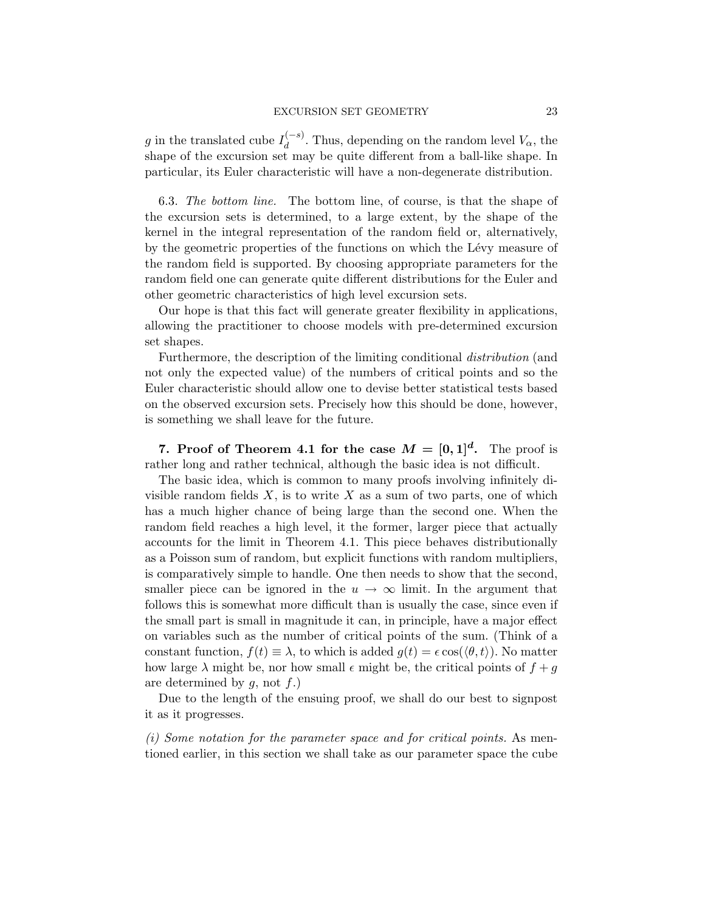#### EXCURSION SET GEOMETRY 23

g in the translated cube  $I_d^{(-s)}$  $\int_{d}^{(-s)}$ . Thus, depending on the random level  $V_{\alpha}$ , the shape of the excursion set may be quite different from a ball-like shape. In particular, its Euler characteristic will have a non-degenerate distribution.

6.3. The bottom line. The bottom line, of course, is that the shape of the excursion sets is determined, to a large extent, by the shape of the kernel in the integral representation of the random field or, alternatively, by the geometric properties of the functions on which the Lévy measure of the random field is supported. By choosing appropriate parameters for the random field one can generate quite different distributions for the Euler and other geometric characteristics of high level excursion sets.

Our hope is that this fact will generate greater flexibility in applications, allowing the practitioner to choose models with pre-determined excursion set shapes.

Furthermore, the description of the limiting conditional distribution (and not only the expected value) of the numbers of critical points and so the Euler characteristic should allow one to devise better statistical tests based on the observed excursion sets. Precisely how this should be done, however, is something we shall leave for the future.

<span id="page-22-0"></span>7. Proof of Theorem [4.1](#page-13-0) for the case  $M = [0, 1]^d$ . The proof is rather long and rather technical, although the basic idea is not difficult.

The basic idea, which is common to many proofs involving infinitely divisible random fields  $X$ , is to write  $X$  as a sum of two parts, one of which has a much higher chance of being large than the second one. When the random field reaches a high level, it the former, larger piece that actually accounts for the limit in Theorem [4.1.](#page-13-0) This piece behaves distributionally as a Poisson sum of random, but explicit functions with random multipliers, is comparatively simple to handle. One then needs to show that the second, smaller piece can be ignored in the  $u \to \infty$  limit. In the argument that follows this is somewhat more difficult than is usually the case, since even if the small part is small in magnitude it can, in principle, have a major effect on variables such as the number of critical points of the sum. (Think of a constant function,  $f(t) \equiv \lambda$ , to which is added  $g(t) = \epsilon \cos(\langle \theta, t \rangle)$ . No matter how large  $\lambda$  might be, nor how small  $\epsilon$  might be, the critical points of  $f + g$ are determined by  $g$ , not  $f$ .)

Due to the length of the ensuing proof, we shall do our best to signpost it as it progresses.

(i) Some notation for the parameter space and for critical points. As mentioned earlier, in this section we shall take as our parameter space the cube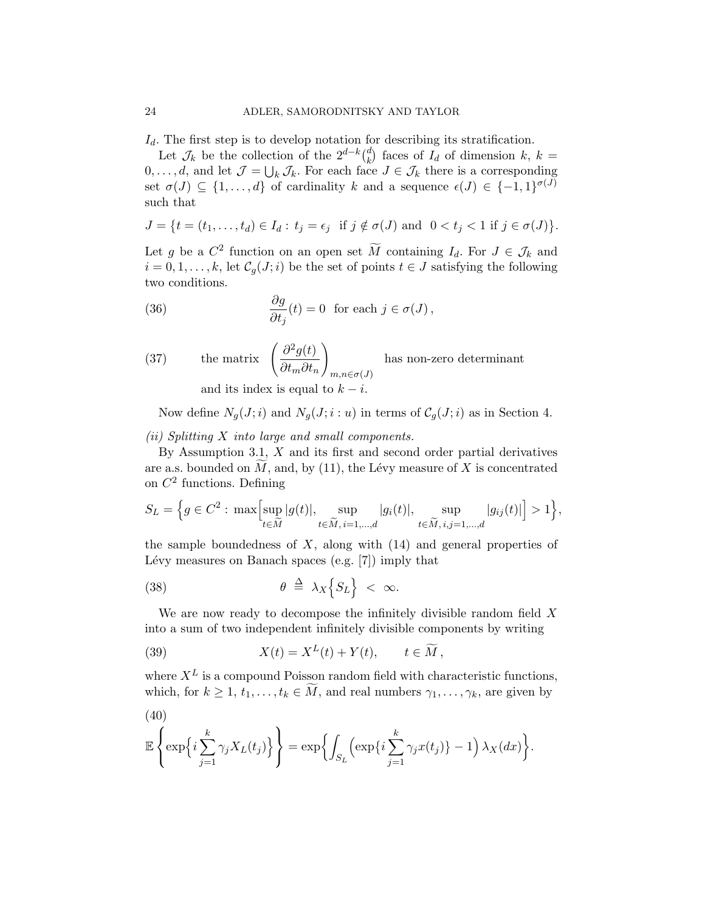$I_d$ . The first step is to develop notation for describing its stratification.

Let  $\mathcal{J}_k$  be the collection of the  $2^{d-k} \binom{d}{k}$  $\binom{d}{k}$  faces of  $I_d$  of dimension  $k, k =$  $0, \ldots, d$ , and let  $\mathcal{J} = \bigcup_k \mathcal{J}_k$ . For each face  $J \in \mathcal{J}_k$  there is a corresponding set  $\sigma(J) \subseteq \{1, \ldots, d\}$  of cardinality k and a sequence  $\epsilon(J) \in \{-1, 1\}^{\sigma(J)}$ such that

$$
J = \{ t = (t_1, \dots, t_d) \in I_d : t_j = \epsilon_j \text{ if } j \notin \sigma(J) \text{ and } 0 < t_j < 1 \text{ if } j \in \sigma(J) \}
$$

.

Let g be a  $C^2$  function on an open set  $\widetilde{M}$  containing  $I_d$ . For  $J \in \mathcal{J}_k$  and  $i = 0, 1, \ldots, k$ , let  $C_q(J; i)$  be the set of points  $t \in J$  satisfying the following two conditions.

(36) 
$$
\frac{\partial g}{\partial t_j}(t) = 0 \text{ for each } j \in \sigma(J),
$$

(37) the matrix 
$$
\left(\frac{\partial^2 g(t)}{\partial t_m \partial t_n}\right)_{m,n \in \sigma(J)}
$$
 has non-zero determinant  
and its index is equal to  $k - i$ .

Now define  $N_g(J;i)$  and  $N_g(J;i:u)$  in terms of  $C_g(J;i)$  as in Section [4.](#page-12-0)

(ii) Splitting X into large and small components.

By Assumption [3.1,](#page-6-0)  $X$  and its first and second order partial derivatives are a.s. bounded on  $\tilde{M}$ , and, by [\(11\)](#page-9-1), the Lévy measure of X is concentrated on  $C^2$  functions. Defining

$$
S_L = \Big\{ g \in C^2 : \max\Big[ \sup_{t \in \widetilde{M}} |g(t)|, \sup_{t \in \widetilde{M}, i=1,\dots,d} |g_i(t)|, \sup_{t \in \widetilde{M}, i,j=1,\dots,d} |g_{ij}(t)| \Big] > 1 \Big\},\
$$

the sample boundedness of  $X$ , along with  $(14)$  and general properties of Lévy measures on Banach spaces (e.g.  $[7]$ ) imply that

<span id="page-23-1"></span>(38) 
$$
\theta \triangleq \lambda_X \Big\{ S_L \Big\} < \infty.
$$

We are now ready to decompose the infinitely divisible random field  $X$ into a sum of two independent infinitely divisible components by writing

<span id="page-23-2"></span>(39) 
$$
X(t) = X^{L}(t) + Y(t), \qquad t \in \widetilde{M},
$$

where  $X^L$  is a compound Poisson random field with characteristic functions, which, for  $k \geq 1, t_1, \ldots, t_k \in \widetilde{M}$ , and real numbers  $\gamma_1, \ldots, \gamma_k$ , are given by

<span id="page-23-0"></span>
$$
\mathbb{E}\left\{\exp\left\{i\sum_{j=1}^k\gamma_jX_L(t_j)\right\}\right\}=\exp\biggl\{\int_{S_L}\left(\exp\{i\sum_{j=1}^k\gamma_jx(t_j)\}-1\right)\lambda_X(dx)\biggr\}.
$$

(40)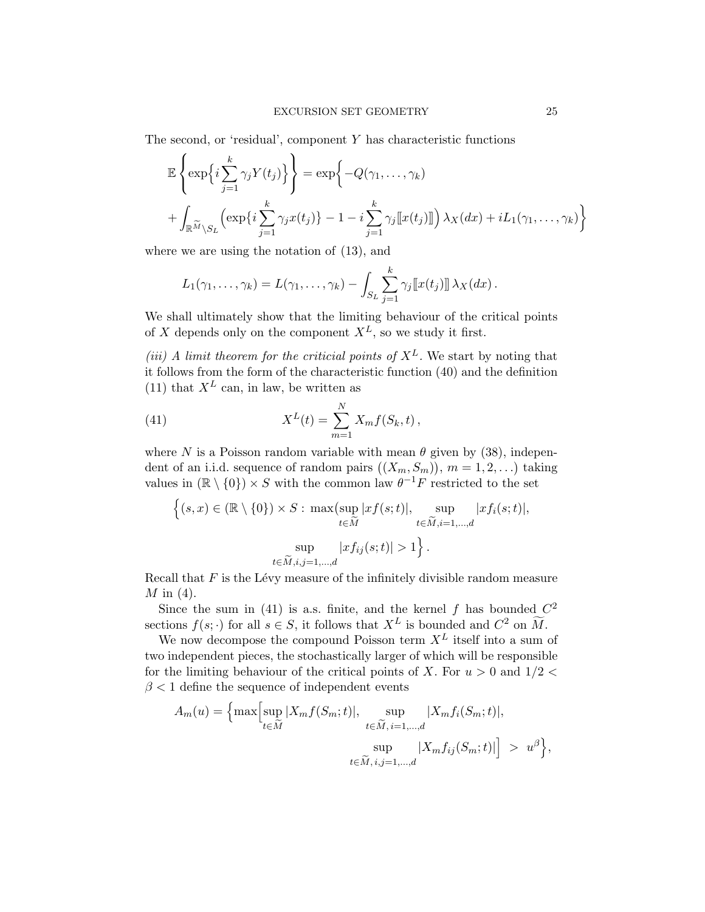The second, or 'residual', component  $Y$  has characteristic functions

$$
\mathbb{E}\left\{\exp\left\{i\sum_{j=1}^{k}\gamma_{j}Y(t_{j})\right\}\right\} = \exp\left\{-Q(\gamma_{1},...,\gamma_{k})\right\}+\int_{\mathbb{R}^{\widetilde{M}}\backslash S_{L}}\left(\exp\{i\sum_{j=1}^{k}\gamma_{j}x(t_{j})\}-1-i\sum_{j=1}^{k}\gamma_{j}\llbracket x(t_{j})\rrbracket\right)\lambda_{X}(dx) + iL_{1}(\gamma_{1},...,\gamma_{k})\right\}
$$

where we are using the notation of [\(13\)](#page-9-3), and

$$
L_1(\gamma_1,\ldots,\gamma_k)=L(\gamma_1,\ldots,\gamma_k)-\int_{S_L}\sum_{j=1}^k\gamma_j[[x(t_j)]]\,\lambda_X(dx)\,.
$$

We shall ultimately show that the limiting behaviour of the critical points of X depends only on the component  $X^L$ , so we study it first.

(iii) A limit theorem for the criticial points of  $X^L$ . We start by noting that it follows from the form of the characteristic function [\(40\)](#page-23-0) and the definition [\(11\)](#page-9-1) that  $X^L$  can, in law, be written as

<span id="page-24-0"></span>(41) 
$$
X^{L}(t) = \sum_{m=1}^{N} X_{m} f(S_{k}, t),
$$

where N is a Poisson random variable with mean  $\theta$  given by [\(38\)](#page-23-1), independent of an i.i.d. sequence of random pairs  $((X_m, S_m))$ ,  $m = 1, 2, ...$ ) taking values in  $(\mathbb{R} \setminus \{0\}) \times S$  with the common law  $\theta^{-1}F$  restricted to the set

$$
\left\{ (s, x) \in (\mathbb{R} \setminus \{0\}) \times S : \max(\sup_{t \in \widetilde{M}} |xf(s; t)|, \sup_{t \in \widetilde{M}, i=1,\dots,d} |xf_i(s; t)|, \sup_{t \in \widetilde{M}, i,j=1,\dots,d} |xf_{ij}(s; t)| > 1 \right\}.
$$

Recall that  $F$  is the Lévy measure of the infinitely divisible random measure  $M$  in [\(4\)](#page-3-1).

Since the sum in [\(41\)](#page-24-0) is a.s. finite, and the kernel f has bounded  $C^2$ sections  $f(s; \cdot)$  for all  $s \in S$ , it follows that  $X^L$  is bounded and  $C^2$  on  $\widetilde{M}$ .

We now decompose the compound Poisson term  $X^L$  itself into a sum of two independent pieces, the stochastically larger of which will be responsible for the limiting behaviour of the critical points of X. For  $u > 0$  and  $1/2 <$  $\beta$  < 1 define the sequence of independent events

$$
A_m(u) = \left\{ \max \Bigl[ \sup_{t \in \widetilde{M}} |X_m f(S_m; t)|, \sup_{t \in \widetilde{M}, i=1,\dots,d} |X_m f_i(S_m; t)|, \sup_{t \in \widetilde{M}, i,j=1,\dots,d} |X_m f_{ij}(S_m; t)| \Bigr] > u^{\beta} \right\},\,
$$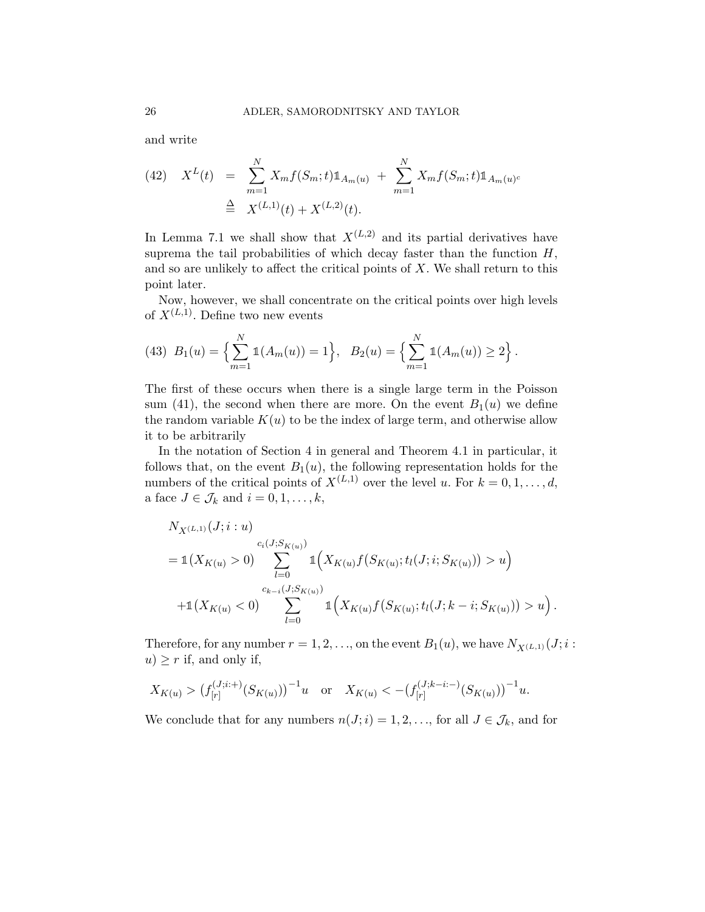and write

<span id="page-25-0"></span>(42) 
$$
X^{L}(t) = \sum_{m=1}^{N} X_{m} f(S_{m}; t) \mathbb{1}_{A_{m}(u)} + \sum_{m=1}^{N} X_{m} f(S_{m}; t) \mathbb{1}_{A_{m}(u)^{c}}
$$

$$
\stackrel{\Delta}{=} X^{(L,1)}(t) + X^{(L,2)}(t).
$$

In Lemma [7.1](#page-37-0) we shall show that  $X^{(L,2)}$  and its partial derivatives have suprema the tail probabilities of which decay faster than the function  $H$ , and so are unlikely to affect the critical points of  $X$ . We shall return to this point later.

Now, however, we shall concentrate on the critical points over high levels of  $X^{(L,1)}$ . Define two new events

<span id="page-25-1"></span>(43) 
$$
B_1(u) = \left\{ \sum_{m=1}^N \mathbb{1}(A_m(u)) = 1 \right\}, \quad B_2(u) = \left\{ \sum_{m=1}^N \mathbb{1}(A_m(u)) \ge 2 \right\}.
$$

The first of these occurs when there is a single large term in the Poisson sum [\(41\)](#page-24-0), the second when there are more. On the event  $B_1(u)$  we define the random variable  $K(u)$  to be the index of large term, and otherwise allow it to be arbitrarily

In the notation of Section [4](#page-12-0) in general and Theorem [4.1](#page-13-0) in particular, it follows that, on the event  $B_1(u)$ , the following representation holds for the numbers of the critical points of  $X^{(L,1)}$  over the level u. For  $k = 0, 1, \ldots, d$ , a face  $J \in \mathcal{J}_k$  and  $i = 0, 1, \ldots, k$ ,

$$
N_{X^{(L,1)}}(J;i:u)
$$
  
=  $\mathbb{1}(X_{K(u)} > 0)$ 
$$
\sum_{l=0}^{c_i(J;S_{K(u)})}\mathbb{1}(X_{K(u)}f(S_{K(u)};t_l(J;i;S_{K(u)})) > u)
$$
  
+  $\mathbb{1}(X_{K(u)} < 0)$ 
$$
\sum_{l=0}^{c_{k-i}(J;S_{K(u)})}\mathbb{1}(X_{K(u)}f(S_{K(u)};t_l(J;k-i;S_{K(u)})) > u).
$$

Therefore, for any number  $r = 1, 2, \ldots$ , on the event  $B_1(u)$ , we have  $N_{X(L,1)}(J; i:$  $u$ )  $\geq r$  if, and only if,

$$
X_{K(u)} > (f_{[r]}^{(J;i+)}(S_{K(u)}))^{-1}u
$$
 or  $X_{K(u)} < -(f_{[r]}^{(J;k-i;-)}(S_{K(u)}))^{-1}u$ .

We conclude that for any numbers  $n(J; i) = 1, 2, \ldots$ , for all  $J \in \mathcal{J}_k$ , and for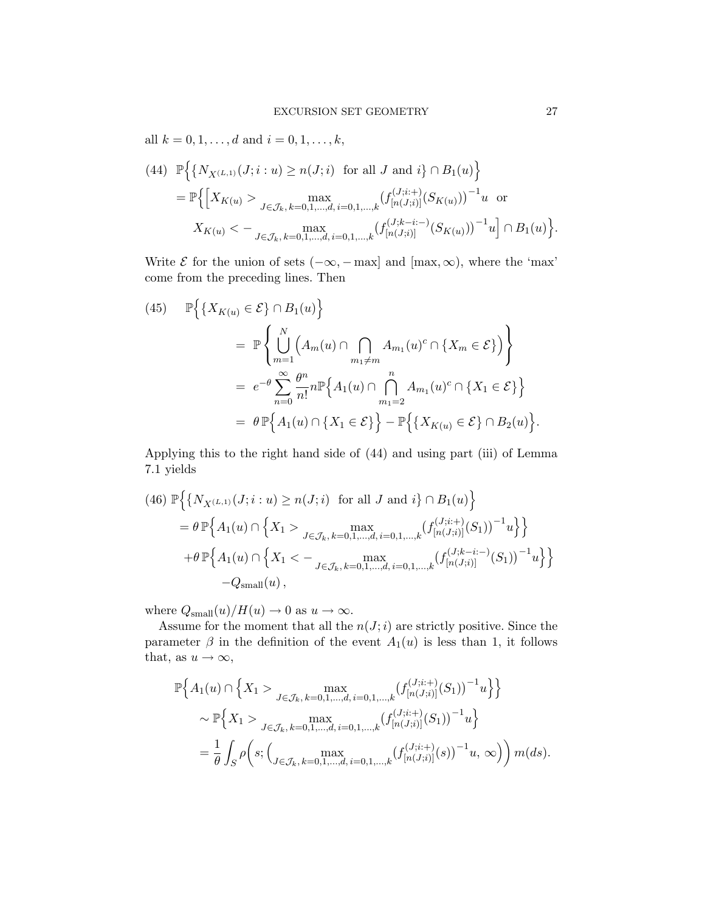all  $k = 0, 1, ..., d$  and  $i = 0, 1, ..., k$ ,

<span id="page-26-0"></span>(44) 
$$
\mathbb{P}\Big\{\big\{N_{X^{(L,1)}}(J;i:u)\geq n(J;i) \text{ for all } J \text{ and } i\big\}\cap B_1(u)\Big\}
$$
  
= 
$$
\mathbb{P}\Big\{\Big[X_{K(u)} > \max_{J\in\mathcal{J}_k,\,k=0,1,\dots,d,\,i=0,1,\dots,k} \big(f_{[n(J;i)]}^{(J;i;+)}(S_{K(u)})\big)^{-1}u \text{ or }
$$
  

$$
X_{K(u)} < -\max_{J\in\mathcal{J}_k,\,k=0,1,\dots,d,\,i=0,1,\dots,k} \big(f_{[n(J;i)]}^{(J;k-i;-)}(S_{K(u)})\big)^{-1}u\Big]\cap B_1(u)\Big\}.
$$

Write  $\mathcal E$  for the union of sets  $(-\infty, -\max]$  and  $[\max, \infty)$ , where the 'max' come from the preceding lines. Then

<span id="page-26-2"></span>(45) 
$$
\mathbb{P}\Big\{\lbrace X_{K(u)} \in \mathcal{E}\rbrace \cap B_1(u)\Big\}
$$
  
\n
$$
= \mathbb{P}\Big\{\bigcup_{m=1}^N \Big(A_m(u) \cap \bigcap_{m_1 \neq m} A_{m_1}(u)^c \cap \lbrace X_m \in \mathcal{E}\rbrace\Big)\Big\}
$$
  
\n
$$
= e^{-\theta} \sum_{n=0}^\infty \frac{\theta^n}{n!} n \mathbb{P}\Big\{A_1(u) \cap \bigcap_{m_1=2}^n A_{m_1}(u)^c \cap \lbrace X_1 \in \mathcal{E}\rbrace\Big\}
$$
  
\n
$$
= \theta \mathbb{P}\Big\{A_1(u) \cap \lbrace X_1 \in \mathcal{E}\rbrace\Big\} - \mathbb{P}\Big\{\lbrace X_{K(u)} \in \mathcal{E}\rbrace \cap B_2(u)\Big\}.
$$

Applying this to the right hand side of [\(44\)](#page-26-0) and using part (iii) of Lemma [7.1](#page-37-0) yields

<span id="page-26-1"></span>(46) 
$$
\mathbb{P}\Big\{\{N_{X^{(L,1)}}(J;i:u) \ge n(J;i) \text{ for all } J \text{ and } i\} \cap B_1(u)\Big\}
$$
  
\n $= \theta \mathbb{P}\Big\{A_1(u) \cap \Big\{X_1 > \max_{J \in \mathcal{J}_k, k=0,1,\dots,d, i=0,1,\dots,k} (f_{[n(J;i)]}^{(J;i;+)}(S_1))^{-1}u\Big\}\Big\}$   
\n $+ \theta \mathbb{P}\Big\{A_1(u) \cap \Big\{X_1 < - \max_{J \in \mathcal{J}_k, k=0,1,\dots,d, i=0,1,\dots,k} (f_{[n(J;i)]}^{(J;k-i;-)}(S_1))^{-1}u\Big\}\Big\}$   
\n $-Q_{\text{small}}(u),$ 

where  $Q_{\text{small}}(u)/H(u) \to 0$  as  $u \to \infty$ .

Assume for the moment that all the  $n(J; i)$  are strictly positive. Since the parameter  $\beta$  in the definition of the event  $A_1(u)$  is less than 1, it follows that, as  $u \to \infty$ ,

$$
\mathbb{P}\Big\{A_{1}(u) \cap \Big\{X_{1} > \max_{J \in \mathcal{J}_{k}, k=0,1,...,d, i=0,1,...,k} (f_{[n(J;i)]}^{(J;i;+)}(S_{1}))^{-1}u\Big\}\Big\}
$$
  
\$\sim \mathbb{P}\Big\{X\_{1} > \max\_{J \in \mathcal{J}\_{k}, k=0,1,...,d, i=0,1,...,k} (f\_{[n(J;i)]}^{(J;i;+)}(S\_{1}))^{-1}u\Big\}  
=  $\frac{1}{\theta} \int_{S} \rho\Big(s; \Big( \max_{J \in \mathcal{J}_{k}, k=0,1,...,d, i=0,1,...,k} (f_{[n(J;i)]}^{(J;i;+)}(s))^{-1}u, \infty\Big) \Big) m(ds).$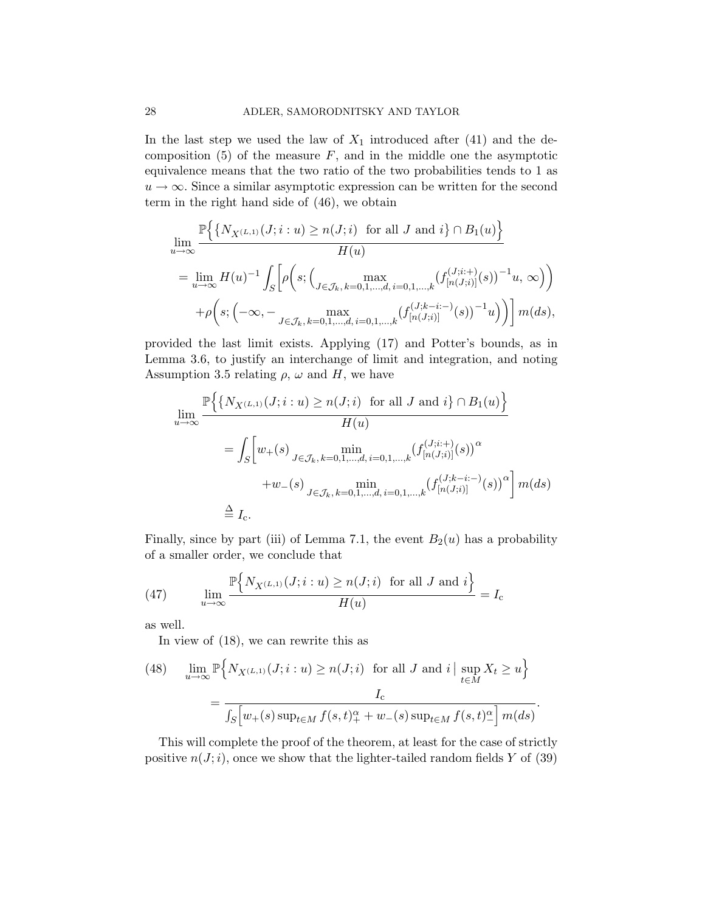In the last step we used the law of  $X_1$  introduced after [\(41\)](#page-24-0) and the decomposition  $(5)$  of the measure F, and in the middle one the asymptotic equivalence means that the two ratio of the two probabilities tends to 1 as  $u \to \infty$ . Since a similar asymptotic expression can be written for the second term in the right hand side of [\(46\)](#page-26-1), we obtain

$$
\lim_{u \to \infty} \frac{\mathbb{P}\Big\{\big\{N_{X^{(L,1)}}(J;i:u) \ge n(J;i) \text{ for all } J \text{ and } i\big\} \cap B_1(u)\Big\}}{H(u)}
$$
\n
$$
= \lim_{u \to \infty} H(u)^{-1} \int_S \Big[\rho\Big(s; \Big(\max_{J \in \mathcal{J}_k, k=0,1,\dots,d, i=0,1,\dots,k} (f_{[n(J;i)]}^{(J;i+)}(s))^{-1}u, \infty\Big)\Big)
$$
\n
$$
+ \rho\Big(s; \Big(-\infty, -\max_{J \in \mathcal{J}_k, k=0,1,\dots,d, i=0,1,\dots,k} (f_{[n(J;i)]}^{(J;k-i;-)}(s))^{-1}u\Big)\Big)\Big] m(ds),
$$

provided the last limit exists. Applying [\(17\)](#page-10-2) and Potter's bounds, as in Lemma [3.6,](#page-10-3) to justify an interchange of limit and integration, and noting Assumption [3.5](#page-10-0) relating  $\rho$ ,  $\omega$  and H, we have

$$
\lim_{u \to \infty} \frac{\mathbb{P}\Big\{\{N_{X^{(L,1)}}(J;i:u) \ge n(J;i) \text{ for all } J \text{ and } i\} \cap B_1(u)\Big\}}{H(u)}
$$
\n
$$
= \int_S \Big[ w_+(s) \max_{J \in \mathcal{J}_k, k=0,1,\dots,d, i=0,1,\dots,k} (f_{[n(J;i)]}^{(J;i;+)}(s))^{\alpha}
$$
\n
$$
+ w_-(s) \max_{J \in \mathcal{J}_k, k=0,1,\dots,d, i=0,1,\dots,k} (f_{[n(J;i)]}^{(J;k-i;-)}(s))^{\alpha} \Big] m(ds)
$$
\n
$$
\stackrel{\triangle}{=} I_c.
$$

Finally, since by part (iii) of Lemma [7.1,](#page-37-0) the event  $B_2(u)$  has a probability of a smaller order, we conclude that

<span id="page-27-1"></span>(47) 
$$
\lim_{u \to \infty} \frac{\mathbb{P}\left\{N_{X^{(L,1)}}(J;i:u) \ge n(J;i) \text{ for all } J \text{ and } i\right\}}{H(u)} = I_c
$$

as well.

In view of [\(18\)](#page-10-1), we can rewrite this as

<span id="page-27-0"></span>(48) 
$$
\lim_{u \to \infty} \mathbb{P}\Big\{N_{X^{(L,1)}}(J;i:u) \ge n(J;i) \text{ for all } J \text{ and } i \mid \sup_{t \in M} X_t \ge u\Big\}
$$

$$
= \frac{I_c}{\int_S \Big[u_+(s) \sup_{t \in M} f(s,t)_+^\alpha + w_-(s) \sup_{t \in M} f(s,t)_-^\alpha\Big] m(ds)}.
$$

This will complete the proof of the theorem, at least for the case of strictly positive  $n(J; i)$ , once we show that the lighter-tailed random fields Y of [\(39\)](#page-23-2)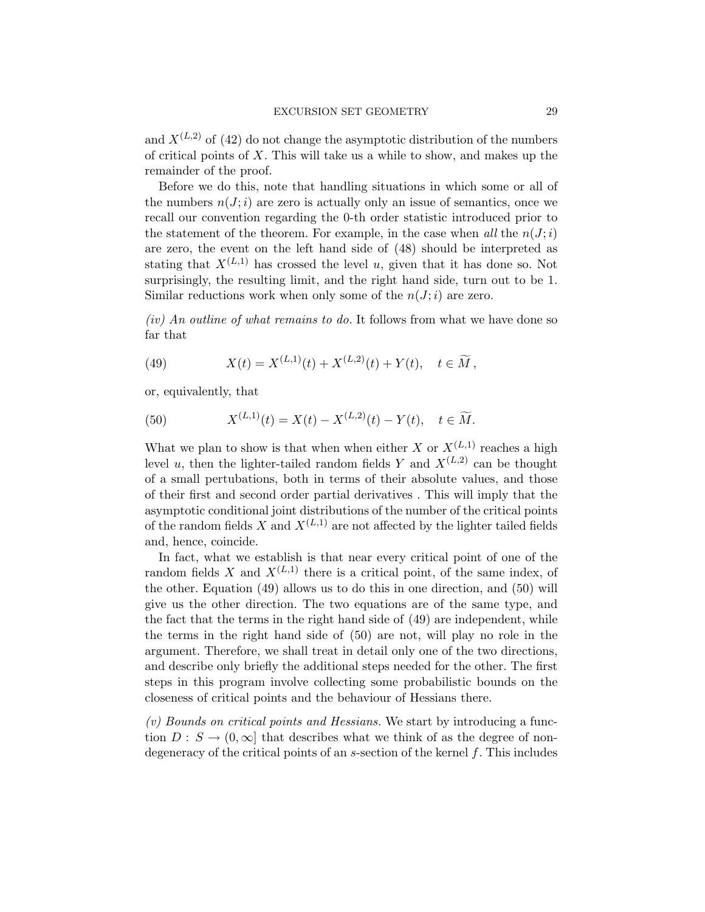and  $X^{(L,2)}$  of [\(42\)](#page-25-0) do not change the asymptotic distribution of the numbers of critical points of  $X$ . This will take us a while to show, and makes up the remainder of the proof.

Before we do this, note that handling situations in which some or all of the numbers  $n(J; i)$  are zero is actually only an issue of semantics, once we recall our convention regarding the 0-th order statistic introduced prior to the statement of the theorem. For example, in the case when all the  $n(J; i)$ are zero, the event on the left hand side of [\(48\)](#page-27-0) should be interpreted as stating that  $X^{(L,1)}$  has crossed the level u, given that it has done so. Not surprisingly, the resulting limit, and the right hand side, turn out to be 1. Similar reductions work when only some of the  $n(J; i)$  are zero.

 $(iv)$  An outline of what remains to do. It follows from what we have done so far that

<span id="page-28-0"></span>(49) 
$$
X(t) = X^{(L,1)}(t) + X^{(L,2)}(t) + Y(t), \quad t \in \widetilde{M},
$$

or, equivalently, that

<span id="page-28-1"></span>(50) 
$$
X^{(L,1)}(t) = X(t) - X^{(L,2)}(t) - Y(t), \quad t \in \widetilde{M}.
$$

What we plan to show is that when when either X or  $X^{(L,1)}$  reaches a high level u, then the lighter-tailed random fields Y and  $X^{(L,2)}$  can be thought of a small pertubations, both in terms of their absolute values, and those of their first and second order partial derivatives . This will imply that the asymptotic conditional joint distributions of the number of the critical points of the random fields X and  $X^{(L,1)}$  are not affected by the lighter tailed fields and, hence, coincide.

In fact, what we establish is that near every critical point of one of the random fields X and  $X^{(L,1)}$  there is a critical point, of the same index, of the other. Equation [\(49\)](#page-28-0) allows us to do this in one direction, and [\(50\)](#page-28-1) will give us the other direction. The two equations are of the same type, and the fact that the terms in the right hand side of [\(49\)](#page-28-0) are independent, while the terms in the right hand side of [\(50\)](#page-28-1) are not, will play no role in the argument. Therefore, we shall treat in detail only one of the two directions, and describe only briefly the additional steps needed for the other. The first steps in this program involve collecting some probabilistic bounds on the closeness of critical points and the behaviour of Hessians there.

(v) Bounds on critical points and Hessians. We start by introducing a function  $D: S \to (0, \infty]$  that describes what we think of as the degree of nondegeneracy of the critical points of an  $s$ -section of the kernel  $f$ . This includes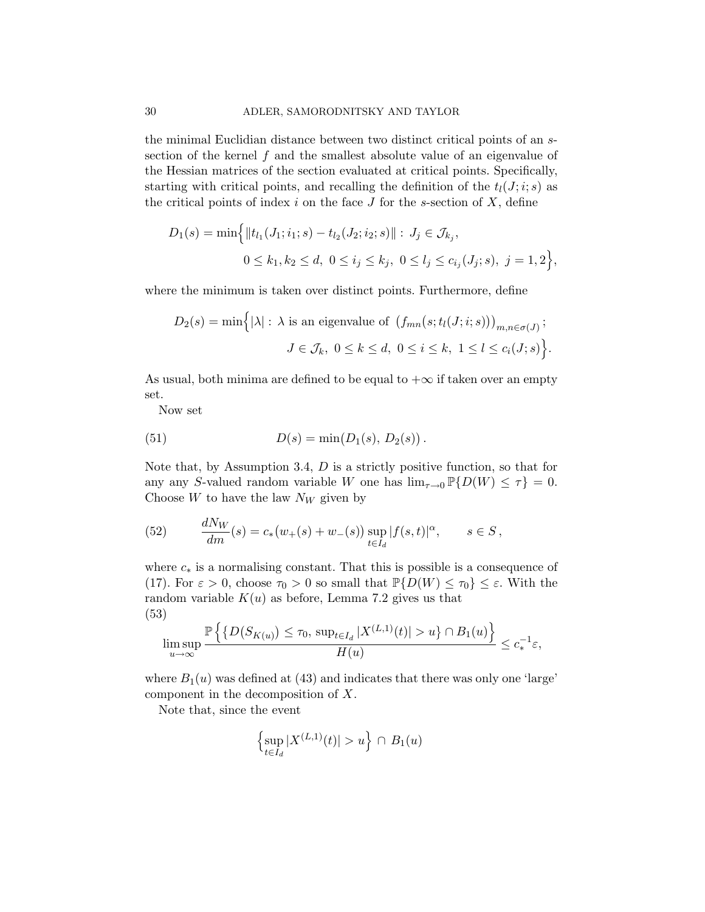the minimal Euclidian distance between two distinct critical points of an ssection of the kernel f and the smallest absolute value of an eigenvalue of the Hessian matrices of the section evaluated at critical points. Specifically, starting with critical points, and recalling the definition of the  $t<sub>l</sub>(J;i; s)$  as the critical points of index  $i$  on the face  $J$  for the s-section of  $X$ , define

$$
D_1(s) = \min\Big\{\|t_{l_1}(J_1; i_1; s) - t_{l_2}(J_2; i_2; s)\| : J_j \in \mathcal{J}_{k_j},
$$
  

$$
0 \le k_1, k_2 \le d, \ 0 \le i_j \le k_j, \ 0 \le l_j \le c_{i_j}(J_j; s), \ j = 1, 2\Big\},\
$$

where the minimum is taken over distinct points. Furthermore, define

$$
D_2(s) = \min\Big\{ |\lambda| : \lambda \text{ is an eigenvalue of } (f_{mn}(s; t_l(J; i; s)))_{m,n \in \sigma(J)}; J \in \mathcal{J}_k, 0 \le k \le d, 0 \le i \le k, 1 \le l \le c_i(J; s) \Big\}.
$$

As usual, both minima are defined to be equal to  $+\infty$  if taken over an empty set.

<span id="page-29-1"></span>Now set

(51) 
$$
D(s) = \min(D_1(s), D_2(s)).
$$

Note that, by Assumption [3.4,](#page-8-0)  $D$  is a strictly positive function, so that for any any S-valued random variable W one has  $\lim_{\tau \to 0} \mathbb{P} \{D(W) \leq \tau\} = 0$ . Choose  $W$  to have the law  $N_W$  given by

<span id="page-29-2"></span>(52) 
$$
\frac{dN_W}{dm}(s) = c_*(w_+(s) + w_-(s)) \sup_{t \in I_d} |f(s,t)|^{\alpha}, \qquad s \in S,
$$

where  $c_*$  is a normalising constant. That this is possible is a consequence of [\(17\)](#page-10-2). For  $\varepsilon > 0$ , choose  $\tau_0 > 0$  so small that  $\mathbb{P}{D(W) \leq \tau_0} \leq \varepsilon$ . With the random variable  $K(u)$  as before, Lemma [7.2](#page-38-0) gives us that (53)

<span id="page-29-0"></span>
$$
\limsup_{u\to\infty}\frac{\mathbb{P}\left\{\left\{D\big(S_{K(u)}\big)\leq\tau_0,\,\sup_{t\in I_d}|X^{(L,1)}(t)|>u\right\}\cap B_1(u)\right\}}{H(u)}\leq c_*^{-1}\varepsilon,
$$

where  $B_1(u)$  was defined at [\(43\)](#page-25-1) and indicates that there was only one 'large' component in the decomposition of X.

Note that, since the event

$$
\left\{\sup_{t\in I_d}|X^{(L,1)}(t)|>u\right\}\cap B_1(u)
$$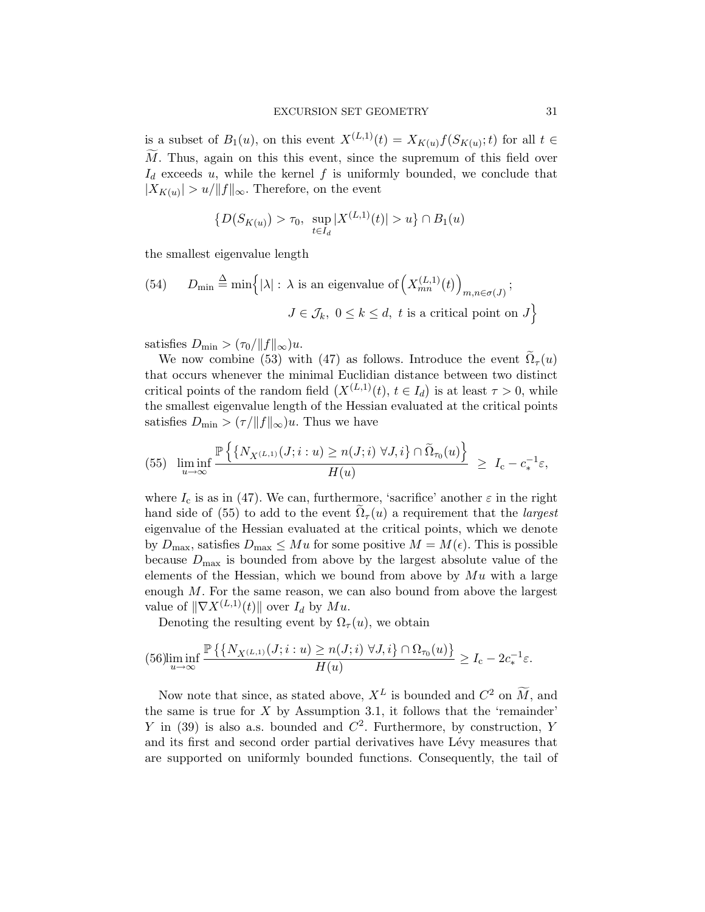is a subset of  $B_1(u)$ , on this event  $X^{(L,1)}(t) = X_{K(u)}f(S_{K(u)};t)$  for all  $t \in$  $M$ . Thus, again on this this event, since the supremum of this field over  $I_d$  exceeds u, while the kernel f is uniformly bounded, we conclude that  $|X_{K(u)}| > u/||f||_{\infty}$ . Therefore, on the event

$$
\{D(S_{K(u)}) > \tau_0, \ \sup_{t \in I_d} |X^{(L,1)}(t)| > u\} \cap B_1(u)
$$

the smallest eigenvalue length

(54) 
$$
D_{\min} \stackrel{\Delta}{=} \min \Big\{ |\lambda| : \lambda \text{ is an eigenvalue of } \Big( X_{mn}^{(L,1)}(t) \Big)_{m,n \in \sigma(J)} \Big\};
$$
  
 $J \in \mathcal{J}_k, 0 \le k \le d, t \text{ is a critical point on } J \Big\}$ 

satisfies  $D_{\min} > (\tau_0/\|f\|_{\infty})u$ .

We now combine [\(53\)](#page-29-0) with [\(47\)](#page-27-1) as follows. Introduce the event  $\Omega_{\tau}(u)$ that occurs whenever the minimal Euclidian distance between two distinct critical points of the random field  $(X^{(L,1)}(t), t \in I_d)$  is at least  $\tau > 0$ , while the smallest eigenvalue length of the Hessian evaluated at the critical points satisfies  $D_{\min} > (\tau / ||f||_{\infty})u$ . Thus we have

<span id="page-30-0"></span>
$$
(55) \quad \liminf_{u \to \infty} \frac{\mathbb{P}\left\{ \left\{ N_{X^{(L,1)}}(J;i:u) \ge n(J;i) \; \forall J,i \right\} \cap \tilde{\Omega}_{\tau_0}(u) \right\}}{H(u)} \ge I_{\rm c} - c_*^{-1} \varepsilon,
$$

where  $I_c$  is as in [\(47\)](#page-27-1). We can, furthermore, 'sacrifice' another  $\varepsilon$  in the right hand side of [\(55\)](#page-30-0) to add to the event  $\Omega_{\tau}(u)$  a requirement that the *largest* eigenvalue of the Hessian evaluated at the critical points, which we denote by  $D_{\text{max}}$ , satisfies  $D_{\text{max}} \leq Mu$  for some positive  $M = M(\epsilon)$ . This is possible because  $D_{\text{max}}$  is bounded from above by the largest absolute value of the elements of the Hessian, which we bound from above by  $Mu$  with a large enough  $M$ . For the same reason, we can also bound from above the largest value of  $\|\nabla X^{(L,1)}(t)\|$  over  $I_d$  by  $Mu$ .

Denoting the resulting event by  $\Omega_{\tau}(u)$ , we obtain

<span id="page-30-1"></span>
$$
(56)\liminf_{u\to\infty}\frac{\mathbb{P}\left\{\left\{N_{X^{(L,1)}}(J;i:u)\geq n(J;i)\;\forall J,i\right\}\cap\Omega_{\tau_0}(u)\right\}}{H(u)}\geq I_{\text{c}}-2c_*^{-1}\varepsilon.
$$

Now note that since, as stated above,  $X^L$  is bounded and  $C^2$  on  $\widetilde{M}$ , and the same is true for  $X$  by Assumption [3.1,](#page-6-0) it follows that the 'remainder' Y in [\(39\)](#page-23-2) is also a.s. bounded and  $C^2$ . Furthermore, by construction, Y and its first and second order partial derivatives have Lévy measures that are supported on uniformly bounded functions. Consequently, the tail of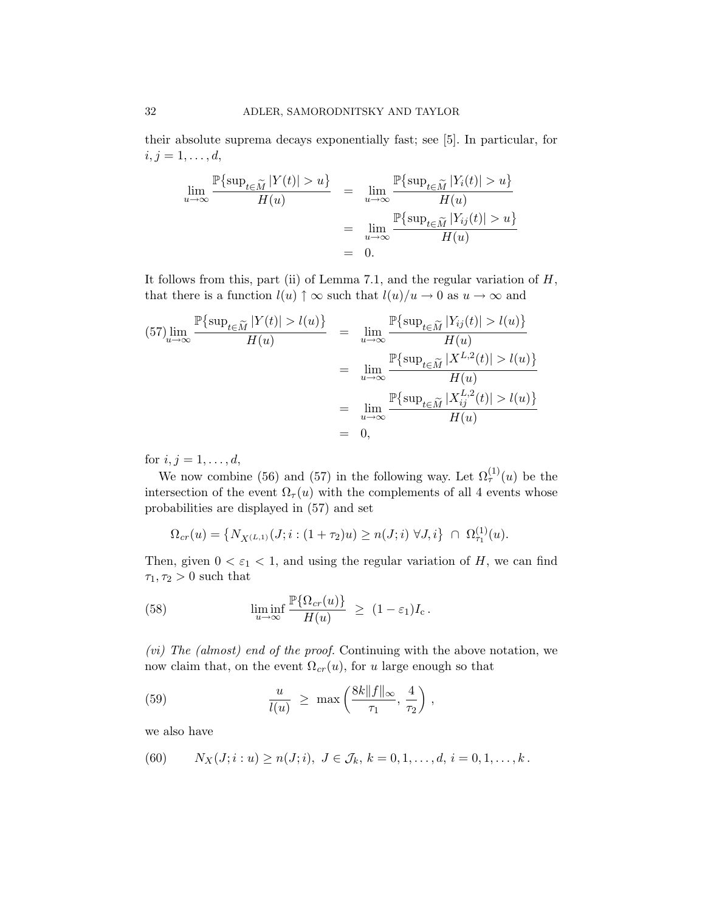their absolute suprema decays exponentially fast; see [\[5\]](#page-41-15). In particular, for  $i, j = 1, \ldots, d,$ 

$$
\lim_{u \to \infty} \frac{\mathbb{P}\{\sup_{t \in \widetilde{M}} |Y(t)| > u\}}{H(u)} = \lim_{u \to \infty} \frac{\mathbb{P}\{\sup_{t \in \widetilde{M}} |Y_i(t)| > u\}}{H(u)}
$$
\n
$$
= \lim_{u \to \infty} \frac{\mathbb{P}\{\sup_{t \in \widetilde{M}} |Y_{ij}(t)| > u\}}{H(u)}
$$
\n
$$
= 0.
$$

It follows from this, part (ii) of Lemma [7.1,](#page-37-0) and the regular variation of  $H$ , that there is a function  $l(u) \uparrow \infty$  such that  $l(u)/u \to 0$  as  $u \to \infty$  and

<span id="page-31-0"></span>
$$
(57)\lim_{u \to \infty} \frac{\mathbb{P}\{\sup_{t \in \widetilde{M}} |Y(t)| > l(u)\}}{H(u)} = \lim_{u \to \infty} \frac{\mathbb{P}\{\sup_{t \in \widetilde{M}} |Y_{ij}(t)| > l(u)\}}{H(u)}
$$

$$
= \lim_{u \to \infty} \frac{\mathbb{P}\{\sup_{t \in \widetilde{M}} |X^{L,2}(t)| > l(u)\}}{H(u)}
$$

$$
= \lim_{u \to \infty} \frac{\mathbb{P}\{\sup_{t \in \widetilde{M}} |X^{L,2}_{ij}(t)| > l(u)\}}{H(u)}
$$

$$
= 0,
$$

for  $i, j = 1, ..., d$ ,

We now combine [\(56\)](#page-30-1) and [\(57\)](#page-31-0) in the following way. Let  $\Omega^{(1)}_7(u)$  be the intersection of the event  $\Omega_{\tau}(u)$  with the complements of all 4 events whose probabilities are displayed in [\(57\)](#page-31-0) and set

$$
\Omega_{cr}(u) = \{ N_{X^{(L,1)}}(J;i:(1+\tau_2)u) \ge n(J;i) \,\,\forall J,i\} \,\,\cap\,\, \Omega_{\tau_1}^{(1)}(u).
$$

Then, given  $0 < \varepsilon_1 < 1$ , and using the regular variation of H, we can find  $\tau_1, \tau_2 > 0$  such that

<span id="page-31-2"></span>(58) 
$$
\liminf_{u \to \infty} \frac{\mathbb{P}\{\Omega_{cr}(u)\}}{H(u)} \geq (1 - \varepsilon_1)I_c.
$$

(vi) The (almost) end of the proof. Continuing with the above notation, we now claim that, on the event  $\Omega_{cr}(u)$ , for u large enough so that

<span id="page-31-3"></span>(59) 
$$
\frac{u}{l(u)} \geq \max\left(\frac{8k||f||_{\infty}}{\tau_1}, \frac{4}{\tau_2}\right),
$$

we also have

<span id="page-31-1"></span>(60) 
$$
N_X(J; i : u) \ge n(J; i), J \in \mathcal{J}_k, k = 0, 1, ..., d, i = 0, 1, ..., k.
$$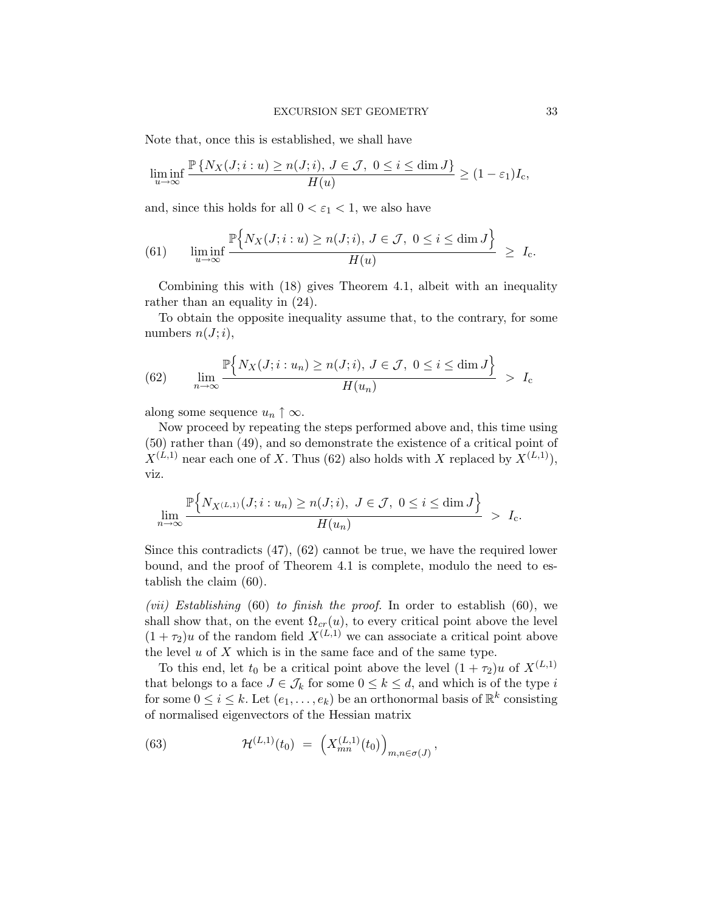Note that, once this is established, we shall have

$$
\liminf_{u \to \infty} \frac{\mathbb{P}\{N_X(J; i : u) \ge n(J; i), J \in \mathcal{J}, 0 \le i \le \dim J\}}{H(u)} \ge (1 - \varepsilon_1)I_c,
$$

and, since this holds for all  $0 < \varepsilon_1 < 1$ , we also have

<span id="page-32-1"></span>(61) 
$$
\liminf_{u \to \infty} \frac{\mathbb{P}\Big\{N_X(J; i : u) \ge n(J; i), J \in \mathcal{J}, 0 \le i \le \dim J\Big\}}{H(u)} \ge I_c.
$$

Combining this with [\(18\)](#page-10-1) gives Theorem [4.1,](#page-13-0) albeit with an inequality rather than an equality in [\(24\)](#page-14-0).

To obtain the opposite inequality assume that, to the contrary, for some numbers  $n(J;i)$ ,

<span id="page-32-0"></span>(62) 
$$
\lim_{n \to \infty} \frac{\mathbb{P}\Big\{N_X(J; i: u_n) \ge n(J; i), J \in \mathcal{J}, 0 \le i \le \dim J\Big\}}{H(u_n)} > I_c
$$

along some sequence  $u_n \uparrow \infty$ .

Now proceed by repeating the steps performed above and, this time using [\(50\)](#page-28-1) rather than [\(49\)](#page-28-0), and so demonstrate the existence of a critical point of  $X^{(L,1)}$  near each one of X. Thus [\(62\)](#page-32-0) also holds with X replaced by  $X^{(L,1)}$ ), viz.

$$
\lim_{n \to \infty} \frac{\mathbb{P}\Big\{N_{X^{(L,1)}}(J;i:u_n) \ge n(J;i), \ J \in \mathcal{J}, \ 0 \le i \le \dim J\Big\}}{H(u_n)} \ > \ I_c.
$$

Since this contradicts [\(47\)](#page-27-1), [\(62\)](#page-32-0) cannot be true, we have the required lower bound, and the proof of Theorem [4.1](#page-13-0) is complete, modulo the need to establish the claim [\(60\)](#page-31-1).

(*vii*) Establishing [\(60\)](#page-31-1) to finish the proof. In order to establish [\(60\)](#page-31-1), we shall show that, on the event  $\Omega_{cr}(u)$ , to every critical point above the level  $(1 + \tau_2)u$  of the random field  $X^{(L,1)}$  we can associate a critical point above the level  $u$  of  $X$  which is in the same face and of the same type.

To this end, let  $t_0$  be a critical point above the level  $(1 + \tau_2)u$  of  $X^{(L,1)}$ that belongs to a face  $J \in \mathcal{J}_k$  for some  $0 \leq k \leq d$ , and which is of the type i for some  $0 \leq i \leq k$ . Let  $(e_1, \ldots, e_k)$  be an orthonormal basis of  $\mathbb{R}^k$  consisting of normalised eigenvectors of the Hessian matrix

<span id="page-32-2"></span>(63) 
$$
\mathcal{H}^{(L,1)}(t_0) = \left(X_{mn}^{(L,1)}(t_0)\right)_{m,n \in \sigma(J)},
$$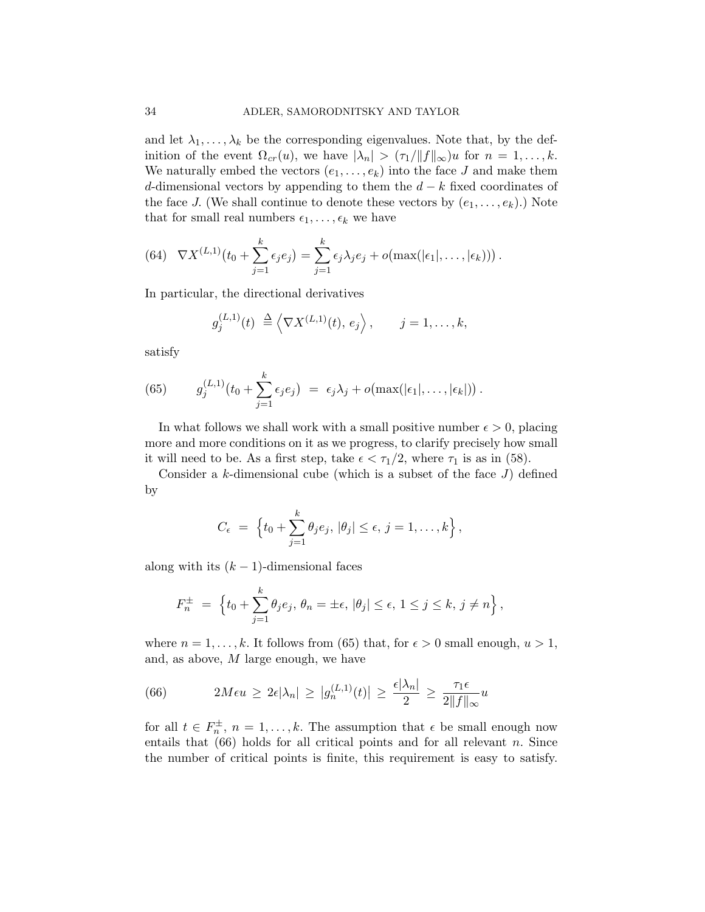and let  $\lambda_1, \ldots, \lambda_k$  be the corresponding eigenvalues. Note that, by the definition of the event  $\Omega_{cr}(u)$ , we have  $|\lambda_n| > (\tau_1/\|f\|_{\infty})u$  for  $n = 1, \ldots, k$ . We naturally embed the vectors  $(e_1, \ldots, e_k)$  into the face J and make them d-dimensional vectors by appending to them the  $d - k$  fixed coordinates of the face J. (We shall continue to denote these vectors by  $(e_1, \ldots, e_k)$ .) Note that for small real numbers  $\epsilon_1, \ldots, \epsilon_k$  we have

<span id="page-33-2"></span>(64) 
$$
\nabla X^{(L,1)}(t_0 + \sum_{j=1}^k \epsilon_j e_j) = \sum_{j=1}^k \epsilon_j \lambda_j e_j + o(\max(|\epsilon_1|, \ldots, |\epsilon_k|)).
$$

In particular, the directional derivatives

$$
g_j^{(L,1)}(t) \stackrel{\Delta}{=} \left\langle \nabla X^{(L,1)}(t), e_j \right\rangle, \qquad j = 1, \ldots, k,
$$

satisfy

<span id="page-33-0"></span>(65) 
$$
g_j^{(L,1)}(t_0+\sum_{j=1}^k \epsilon_j e_j) = \epsilon_j \lambda_j + o(\max(|\epsilon_1|,\ldots,|\epsilon_k|)).
$$

In what follows we shall work with a small positive number  $\epsilon > 0$ , placing more and more conditions on it as we progress, to clarify precisely how small it will need to be. As a first step, take  $\epsilon < \tau_1/2$ , where  $\tau_1$  is as in [\(58\)](#page-31-2).

Consider a  $k$ -dimensional cube (which is a subset of the face  $J$ ) defined by

$$
C_{\epsilon} = \left\{ t_0 + \sum_{j=1}^{k} \theta_j e_j, |\theta_j| \leq \epsilon, j = 1, \ldots, k \right\},\,
$$

along with its  $(k - 1)$ -dimensional faces

$$
F_n^{\pm} = \left\{ t_0 + \sum_{j=1}^k \theta_j e_j, \, \theta_n = \pm \epsilon, \, |\theta_j| \le \epsilon, \, 1 \le j \le k, \, j \ne n \right\},\,
$$

where  $n = 1, \ldots, k$ . It follows from [\(65\)](#page-33-0) that, for  $\epsilon > 0$  small enough,  $u > 1$ , and, as above, M large enough, we have

<span id="page-33-1"></span>(66) 
$$
2M\epsilon u \geq 2\epsilon |\lambda_n| \geq |g_n^{(L,1)}(t)| \geq \frac{\epsilon |\lambda_n|}{2} \geq \frac{\tau_1 \epsilon}{2\|f\|_{\infty}} u
$$

for all  $t \in F_n^{\pm}$ ,  $n = 1, ..., k$ . The assumption that  $\epsilon$  be small enough now entails that  $(66)$  holds for all critical points and for all relevant n. Since the number of critical points is finite, this requirement is easy to satisfy.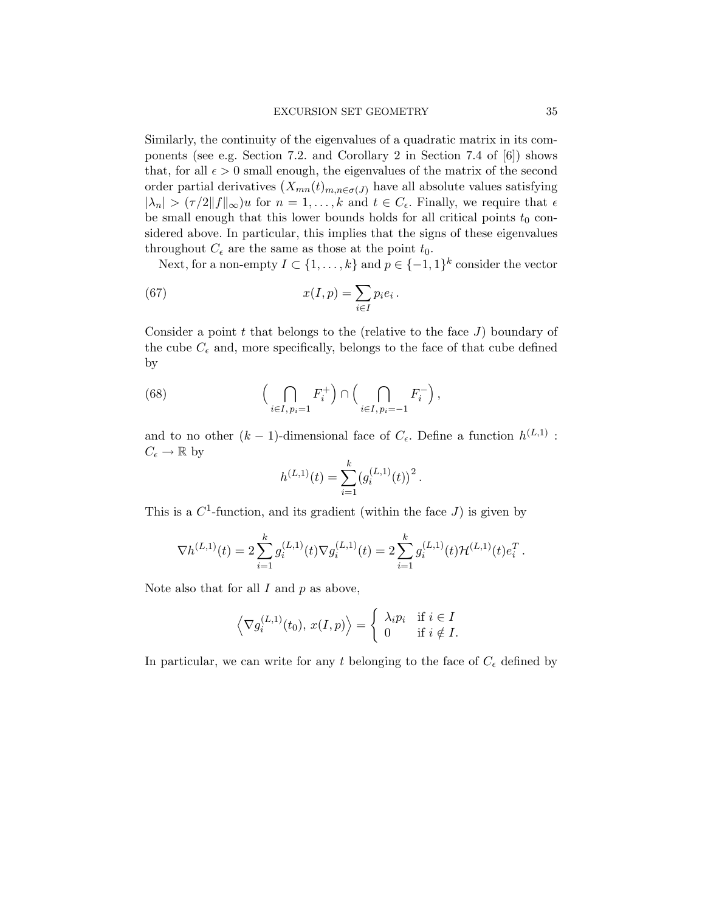Similarly, the continuity of the eigenvalues of a quadratic matrix in its components (see e.g. Section 7.2. and Corollary 2 in Section 7.4 of [\[6\]](#page-41-16)) shows that, for all  $\epsilon > 0$  small enough, the eigenvalues of the matrix of the second order partial derivatives  $(X_{mn}(t)_{m,n\in\sigma(J)})$  have all absolute values satisfying  $|\lambda_n| > (\tau/2||f||_{\infty})u$  for  $n = 1, ..., k$  and  $t \in C_{\epsilon}$ . Finally, we require that  $\epsilon$ be small enough that this lower bounds holds for all critical points  $t_0$  considered above. In particular, this implies that the signs of these eigenvalues throughout  $C_{\epsilon}$  are the same as those at the point  $t_0$ .

Next, for a non-empty  $I \subset \{1, ..., k\}$  and  $p \in \{-1, 1\}^k$  consider the vector

(67) 
$$
x(I, p) = \sum_{i \in I} p_i e_i.
$$

Consider a point  $t$  that belongs to the (relative to the face  $J$ ) boundary of the cube  $C_{\epsilon}$  and, more specifically, belongs to the face of that cube defined by

(68) 
$$
\left(\bigcap_{i\in I,\,p_i=1} F_i^+\right) \cap \left(\bigcap_{i\in I,\,p_i=-1} F_i^-\right),
$$

and to no other  $(k-1)$ -dimensional face of  $C_{\epsilon}$ . Define a function  $h^{(L,1)}$ :  $C_{\epsilon} \to \mathbb{R}$  by

<span id="page-34-0"></span>
$$
h^{(L,1)}(t) = \sum_{i=1}^{k} (g_i^{(L,1)}(t))^2.
$$

This is a  $C^1$ -function, and its gradient (within the face  $J$ ) is given by

$$
\nabla h^{(L,1)}(t) = 2 \sum_{i=1}^{k} g_i^{(L,1)}(t) \nabla g_i^{(L,1)}(t) = 2 \sum_{i=1}^{k} g_i^{(L,1)}(t) \mathcal{H}^{(L,1)}(t) e_i^T.
$$

Note also that for all  $I$  and  $p$  as above,

$$
\langle \nabla g_i^{(L,1)}(t_0), x(I,p) \rangle = \begin{cases} \lambda_i p_i & \text{if } i \in I \\ 0 & \text{if } i \notin I. \end{cases}
$$

In particular, we can write for any t belonging to the face of  $C_{\epsilon}$  defined by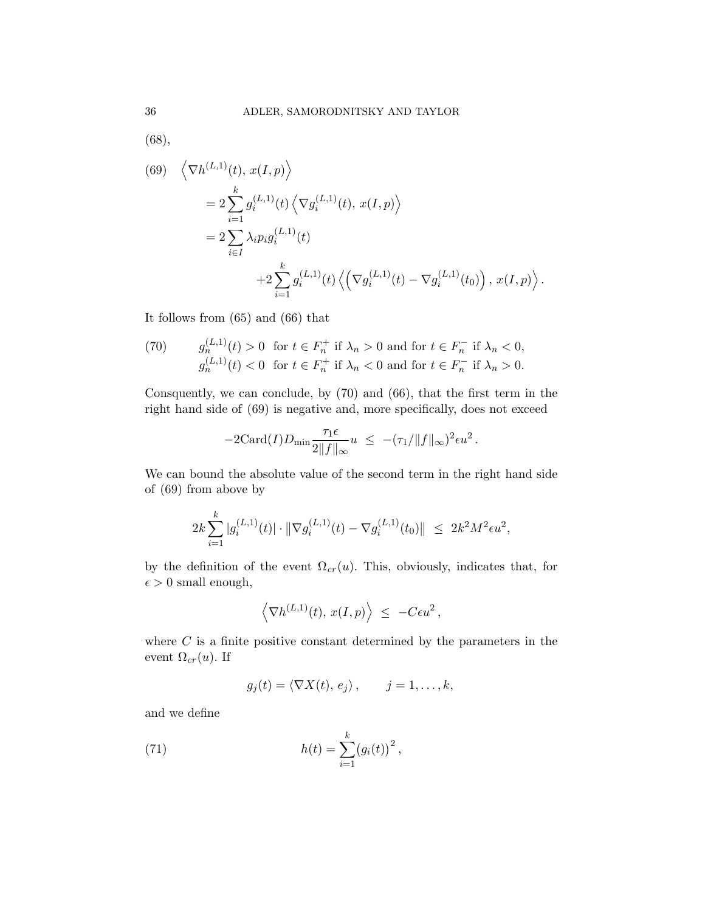[\(68\)](#page-34-0),

<span id="page-35-1"></span>(69) 
$$
\langle \nabla h^{(L,1)}(t), x(I, p) \rangle
$$
  
\n
$$
= 2 \sum_{i=1}^{k} g_i^{(L,1)}(t) \langle \nabla g_i^{(L,1)}(t), x(I, p) \rangle
$$
\n
$$
= 2 \sum_{i \in I} \lambda_i p_i g_i^{(L,1)}(t)
$$
\n
$$
+ 2 \sum_{i=1}^{k} g_i^{(L,1)}(t) \langle (\nabla g_i^{(L,1)}(t) - \nabla g_i^{(L,1)}(t_0)), x(I, p) \rangle.
$$

It follows from [\(65\)](#page-33-0) and [\(66\)](#page-33-1) that

<span id="page-35-0"></span>(70) 
$$
g_n^{(L,1)}(t) > 0 \text{ for } t \in F_n^+ \text{ if } \lambda_n > 0 \text{ and for } t \in F_n^- \text{ if } \lambda_n < 0,
$$

$$
g_n^{(L,1)}(t) < 0 \text{ for } t \in F_n^+ \text{ if } \lambda_n < 0 \text{ and for } t \in F_n^- \text{ if } \lambda_n > 0.
$$

Consquently, we can conclude, by [\(70\)](#page-35-0) and [\(66\)](#page-33-1), that the first term in the right hand side of [\(69\)](#page-35-1) is negative and, more specifically, does not exceed

$$
-2\mathrm{Card}(I)D_{\min}\frac{\tau_1\epsilon}{2\|f\|_{\infty}}u \ \leq \ -(\tau_1/\|f\|_{\infty})^2\epsilon u^2.
$$

We can bound the absolute value of the second term in the right hand side of [\(69\)](#page-35-1) from above by

$$
2k\sum_{i=1}^k|g_i^{(L,1)}(t)|\cdot\|\nabla g_i^{(L,1)}(t)-\nabla g_i^{(L,1)}(t_0)\| \leq 2k^2M^2\epsilon u^2,
$$

by the definition of the event  $\Omega_{cr}(u)$ . This, obviously, indicates that, for  $\epsilon > 0$  small enough,

$$
\left\langle \nabla h^{(L,1)}(t),\, x(I,p) \right\rangle \ \leq \ -C\epsilon u^2\,,
$$

where  $C$  is a finite positive constant determined by the parameters in the event  $\Omega_{cr}(u)$ . If

<span id="page-35-2"></span>
$$
g_j(t) = \langle \nabla X(t), e_j \rangle, \qquad j = 1, \dots, k,
$$

and we define

(71) 
$$
h(t) = \sum_{i=1}^{k} (g_i(t))^2,
$$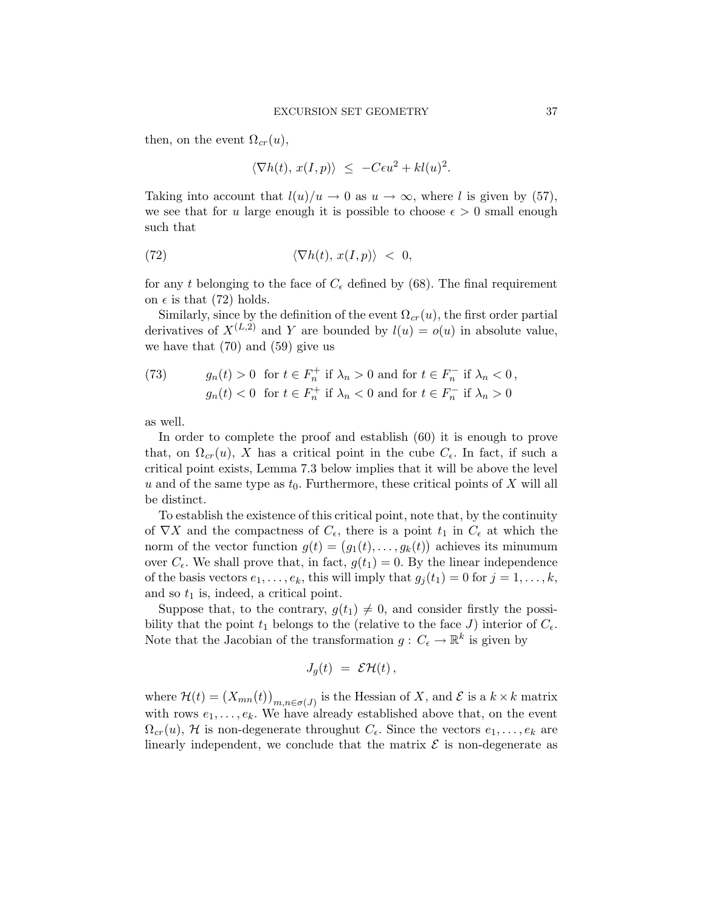then, on the event  $\Omega_{cr}(u)$ ,

<span id="page-36-0"></span>
$$
\langle \nabla h(t), x(I, p) \rangle \le -C\epsilon u^2 + kl(u)^2.
$$

Taking into account that  $l(u)/u \to 0$  as  $u \to \infty$ , where l is given by [\(57\)](#page-31-0), we see that for u large enough it is possible to choose  $\epsilon > 0$  small enough such that

(72) 
$$
\langle \nabla h(t), x(I, p) \rangle < 0,
$$

for any t belonging to the face of  $C_{\epsilon}$  defined by [\(68\)](#page-34-0). The final requirement on  $\epsilon$  is that [\(72\)](#page-36-0) holds.

Similarly, since by the definition of the event  $\Omega_{cr}(u)$ , the first order partial derivatives of  $X^{(L,2)}$  and Y are bounded by  $l(u) = o(u)$  in absolute value, we have that [\(70\)](#page-35-0) and [\(59\)](#page-31-3) give us

(73) 
$$
g_n(t) > 0 \text{ for } t \in F_n^+ \text{ if } \lambda_n > 0 \text{ and for } t \in F_n^- \text{ if } \lambda_n < 0,
$$

$$
g_n(t) < 0 \text{ for } t \in F_n^+ \text{ if } \lambda_n < 0 \text{ and for } t \in F_n^- \text{ if } \lambda_n > 0
$$

as well.

In order to complete the proof and establish [\(60\)](#page-31-1) it is enough to prove that, on  $\Omega_{cr}(u)$ , X has a critical point in the cube  $C_{\epsilon}$ . In fact, if such a critical point exists, Lemma [7.3](#page-39-0) below implies that it will be above the level u and of the same type as  $t_0$ . Furthermore, these critical points of X will all be distinct.

To establish the existence of this critical point, note that, by the continuity of  $\nabla X$  and the compactness of  $C_{\epsilon}$ , there is a point  $t_1$  in  $C_{\epsilon}$  at which the norm of the vector function  $g(t) = (g_1(t), \ldots, g_k(t))$  achieves its minumum over  $C_{\epsilon}$ . We shall prove that, in fact,  $g(t_1) = 0$ . By the linear independence of the basis vectors  $e_1, \ldots, e_k$ , this will imply that  $g_j(t_1) = 0$  for  $j = 1, \ldots, k$ , and so  $t_1$  is, indeed, a critical point.

Suppose that, to the contrary,  $g(t_1) \neq 0$ , and consider firstly the possibility that the point  $t_1$  belongs to the (relative to the face J) interior of  $C_{\epsilon}$ . Note that the Jacobian of the transformation  $g: C_{\epsilon} \to \mathbb{R}^k$  is given by

$$
J_g(t) = \mathcal{E}\mathcal{H}(t)\,,
$$

where  $\mathcal{H}(t) = (X_{mn}(t))_{m,n \in \sigma(J)}$  is the Hessian of X, and  $\mathcal{E}$  is a  $k \times k$  matrix with rows  $e_1, \ldots, e_k$ . We have already established above that, on the event  $\Omega_{cr}(u)$ , H is non-degenerate throughut  $C_{\epsilon}$ . Since the vectors  $e_1, \ldots, e_k$  are linearly independent, we conclude that the matrix  $\mathcal E$  is non-degenerate as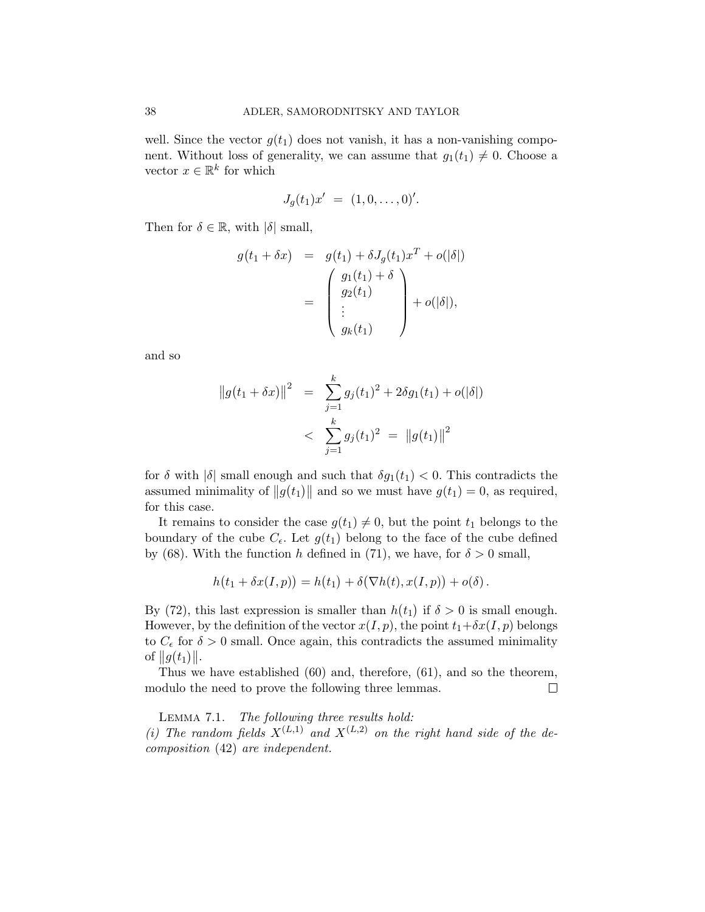well. Since the vector  $g(t_1)$  does not vanish, it has a non-vanishing component. Without loss of generality, we can assume that  $g_1(t_1) \neq 0$ . Choose a vector  $x \in \mathbb{R}^k$  for which

$$
J_g(t_1)x' = (1,0,\ldots,0)'
$$

Then for  $\delta \in \mathbb{R}$ , with  $|\delta|$  small,

$$
g(t_1 + \delta x) = g(t_1) + \delta J_g(t_1) x^T + o(|\delta|)
$$
  
= 
$$
\begin{pmatrix} g_1(t_1) + \delta \\ g_2(t_1) \\ \vdots \\ g_k(t_1) \end{pmatrix} + o(|\delta|),
$$

and so

$$
||g(t_1 + \delta x)||^2 = \sum_{j=1}^k g_j(t_1)^2 + 2\delta g_1(t_1) + o(|\delta|)
$$
  
< 
$$
< \sum_{j=1}^k g_j(t_1)^2 = ||g(t_1)||^2
$$

for  $\delta$  with  $|\delta|$  small enough and such that  $\delta g_1(t_1) < 0$ . This contradicts the assumed minimality of  $||g(t_1)||$  and so we must have  $g(t_1) = 0$ , as required, for this case.

It remains to consider the case  $g(t_1) \neq 0$ , but the point  $t_1$  belongs to the boundary of the cube  $C_{\epsilon}$ . Let  $g(t_1)$  belong to the face of the cube defined by [\(68\)](#page-34-0). With the function h defined in [\(71\)](#page-35-2), we have, for  $\delta > 0$  small,

$$
h(t_1 + \delta x(I, p)) = h(t_1) + \delta(\nabla h(t), x(I, p)) + o(\delta).
$$

By [\(72\)](#page-36-0), this last expression is smaller than  $h(t_1)$  if  $\delta > 0$  is small enough. However, by the definition of the vector  $x(I, p)$ , the point  $t_1+\delta x(I, p)$  belongs to  $C_{\epsilon}$  for  $\delta > 0$  small. Once again, this contradicts the assumed minimality of  $||g(t_1)||$ .

Thus we have established [\(60\)](#page-31-1) and, therefore, [\(61\)](#page-32-1), and so the theorem, modulo the need to prove the following three lemmas.  $\Box$ 

<span id="page-37-0"></span>Lemma 7.1. The following three results hold: (i) The random fields  $X^{(L,1)}$  and  $X^{(L,2)}$  on the right hand side of the decomposition [\(42\)](#page-25-0) are independent.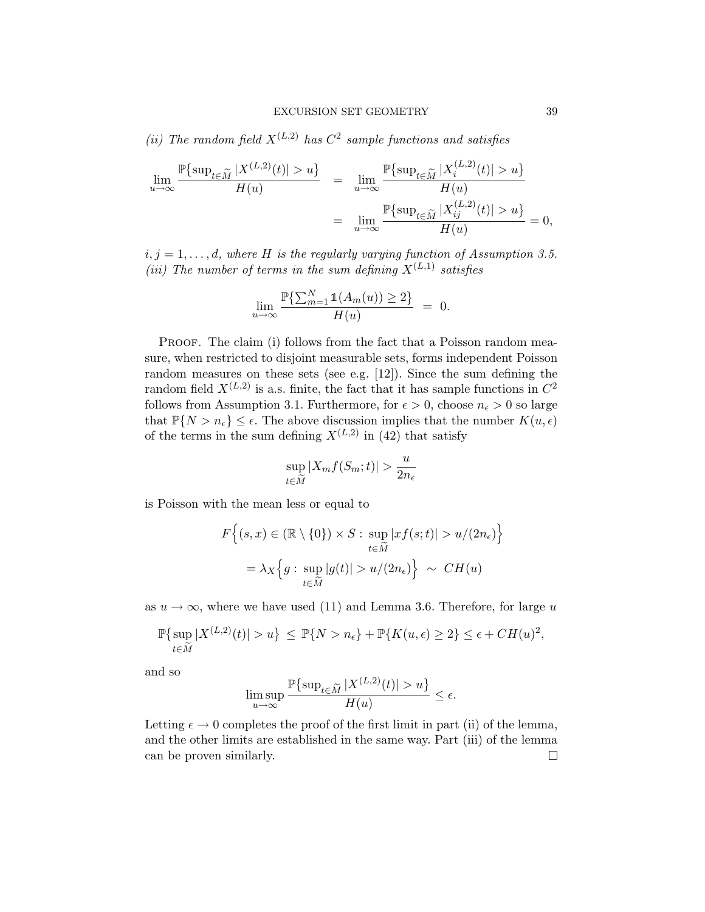(ii) The random field  $X^{(L,2)}$  has  $C^2$  sample functions and satisfies

$$
\lim_{u \to \infty} \frac{\mathbb{P}\{\sup_{t \in \widetilde{M}} |X^{(L,2)}(t)| > u\}}{H(u)} = \lim_{u \to \infty} \frac{\mathbb{P}\{\sup_{t \in \widetilde{M}} |X_i^{(L,2)}(t)| > u\}}{H(u)}
$$

$$
= \lim_{u \to \infty} \frac{\mathbb{P}\{\sup_{t \in \widetilde{M}} |X_{ij}^{(L,2)}(t)| > u\}}{H(u)} = 0,
$$

 $i, j = 1, \ldots, d$ , where H is the regularly varying function of Assumption [3.5.](#page-10-0) (iii) The number of terms in the sum defining  $X^{(L,1)}$  satisfies

$$
\lim_{u \to \infty} \frac{\mathbb{P}\{\sum_{m=1}^{N} \mathbb{1}(A_m(u)) \ge 2\}}{H(u)} = 0.
$$

PROOF. The claim (i) follows from the fact that a Poisson random measure, when restricted to disjoint measurable sets, forms independent Poisson random measures on these sets (see e.g. [\[12\]](#page-41-17)). Since the sum defining the random field  $X^{(L,2)}$  is a.s. finite, the fact that it has sample functions in  $C^2$ follows from Assumption [3.1.](#page-6-0) Furthermore, for  $\epsilon > 0$ , choose  $n_{\epsilon} > 0$  so large that  $\mathbb{P}{N > n_{\epsilon}} \leq \epsilon$ . The above discussion implies that the number  $K(u, \epsilon)$ of the terms in the sum defining  $X^{(L,2)}$  in [\(42\)](#page-25-0) that satisfy

$$
\sup_{t \in \widetilde{M}} |X_m f(S_m; t)| > \frac{u}{2n_{\epsilon}}
$$

is Poisson with the mean less or equal to

$$
F\left\{(s,x)\in(\mathbb{R}\setminus\{0\})\times S:\sup_{t\in\widetilde{M}}|xf(s;t)|>u/(2n_{\epsilon})\right\}
$$

$$
=\lambda_{X}\left\{g:\sup_{t\in\widetilde{M}}|g(t)|>u/(2n_{\epsilon})\right\}\sim CH(u)
$$

as  $u \to \infty$ , where we have used [\(11\)](#page-9-1) and Lemma [3.6.](#page-10-3) Therefore, for large u

$$
\mathbb{P}\{\sup_{t\in \widetilde{M}} |X^{(L,2)}(t)| > u\} \leq \mathbb{P}\{N > n_{\epsilon}\} + \mathbb{P}\{K(u,\epsilon) \geq 2\} \leq \epsilon + CH(u)^2,
$$

and so

$$
\limsup_{u\to\infty}\frac{\mathbb{P}\{\sup_{t\in\widetilde{M}}|X^{(L,2)}(t)|>u\}}{H(u)}\leq\epsilon.
$$

<span id="page-38-0"></span>Letting  $\epsilon \to 0$  completes the proof of the first limit in part (ii) of the lemma, and the other limits are established in the same way. Part (iii) of the lemma can be proven similarly. $\Box$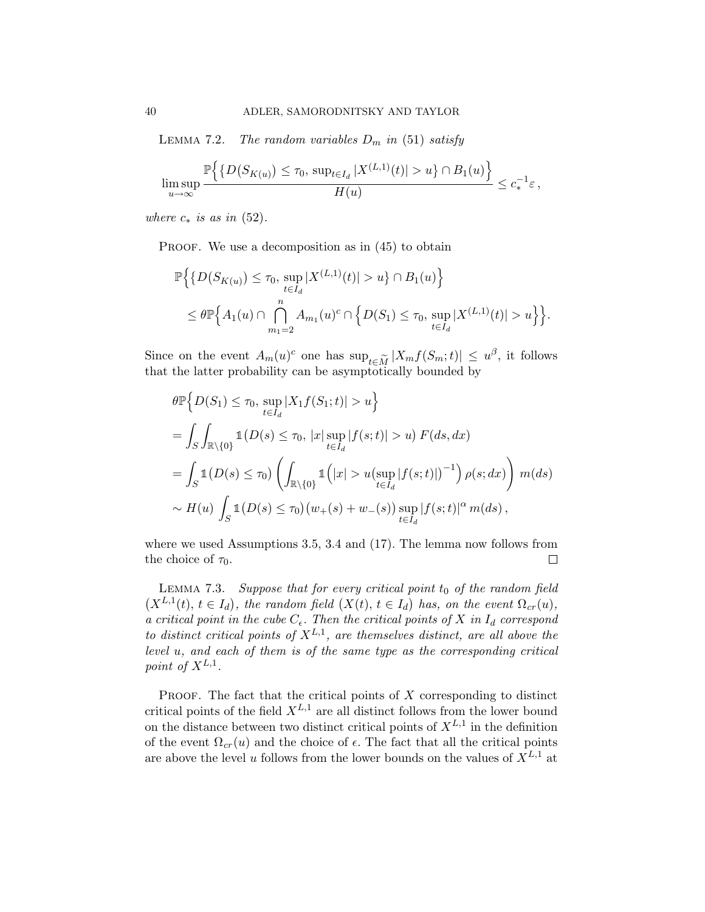LEMMA 7.2. The random variables  $D_m$  in [\(51\)](#page-29-1) satisfy

$$
\limsup_{u\to\infty}\frac{\mathbb{P}\Big\{\big\{D\big(S_{K(u)}\big)\leq\tau_0,\,\sup_{t\in I_d}|X^{(L,1)}(t)|>u\big\}\cap B_1(u)\Big\}}{H(u)}\leq c_*^{-1}\varepsilon\,,
$$

where  $c_*$  is as in [\(52\)](#page-29-2).

PROOF. We use a decomposition as in  $(45)$  to obtain

$$
\mathbb{P}\Big\{\big\{D(S_{K(u)}) \leq \tau_0, \sup_{t \in I_d} |X^{(L,1)}(t)| > u\big\} \cap B_1(u)\Big\}
$$
  
 
$$
\leq \theta \mathbb{P}\Big\{A_1(u) \cap \bigcap_{m_1=2}^n A_{m_1}(u)^c \cap \Big\{D(S_1) \leq \tau_0, \sup_{t \in I_d} |X^{(L,1)}(t)| > u\Big\}\Big\}.
$$

Since on the event  $A_m(u)^c$  one has  $\sup_{t \in \widetilde{M}} |X_m f(S_m; t)| \leq u^{\beta}$ , it follows that the latter probability can be asymptotically bounded by that the latter probability can be asymptotically bounded by

$$
\theta \mathbb{P} \Big\{ D(S_1) \leq \tau_0, \sup_{t \in I_d} |X_1 f(S_1; t)| > u \Big\}
$$
  
=  $\int_S \int_{\mathbb{R} \setminus \{0\}} \mathbb{1}(D(s) \leq \tau_0, |x| \sup_{t \in I_d} |f(s; t)| > u) F(ds, dx)$   
=  $\int_S \mathbb{1}(D(s) \leq \tau_0) \left( \int_{\mathbb{R} \setminus \{0\}} \mathbb{1}(|x| > u(\sup_{t \in I_d} |f(s; t)|)^{-1}) \rho(s; dx) \right) m(ds)$   
 $\sim H(u) \int_S \mathbb{1}(D(s) \leq \tau_0) (w_+(s) + w_-(s)) \sup_{t \in I_d} |f(s; t)|^{\alpha} m(ds),$ 

where we used Assumptions [3.5,](#page-10-0) [3.4](#page-8-0) and [\(17\)](#page-10-2). The lemma now follows from the choice of  $\tau_0$ .  $\Box$ 

<span id="page-39-0"></span>LEMMA 7.3. Suppose that for every critical point  $t_0$  of the random field  $(X^{L,1}(t), t \in I_d)$ , the random field  $(X(t), t \in I_d)$  has, on the event  $\Omega_{cr}(u)$ , a critical point in the cube  $C_{\epsilon}$ . Then the critical points of X in  $I_d$  correspond to distinct critical points of  $X^{L,1}$ , are themselves distinct, are all above the level u, and each of them is of the same type as the corresponding critical point of  $X^{L,1}$ .

PROOF. The fact that the critical points of  $X$  corresponding to distinct critical points of the field  $X^{L,1}$  are all distinct follows from the lower bound on the distance between two distinct critical points of  $X^{L,1}$  in the definition of the event  $\Omega_{cr}(u)$  and the choice of  $\epsilon$ . The fact that all the critical points are above the level u follows from the lower bounds on the values of  $X^{L,1}$  at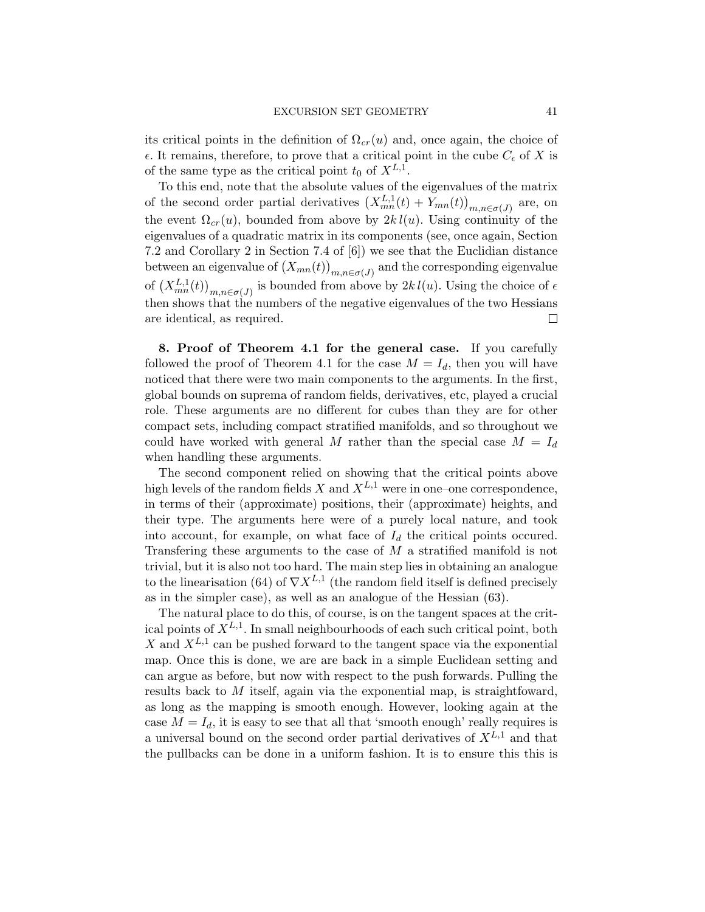its critical points in the definition of  $\Omega_{cr}(u)$  and, once again, the choice of  $\epsilon$ . It remains, therefore, to prove that a critical point in the cube  $C_{\epsilon}$  of X is of the same type as the critical point  $t_0$  of  $X^{L,1}$ .

To this end, note that the absolute values of the eigenvalues of the matrix of the second order partial derivatives  $(X_{mn}^{L,1}(t) + Y_{mn}(t))_{m,n \in \sigma(J)}$  are, on the event  $\Omega_{cr}(u)$ , bounded from above by  $2kl(u)$ . Using continuity of the eigenvalues of a quadratic matrix in its components (see, once again, Section 7.2 and Corollary 2 in Section 7.4 of [\[6\]](#page-41-16)) we see that the Euclidian distance between an eigenvalue of  $(X_{mn}(t))_{m,n\in\sigma(J)}$  and the corresponding eigenvalue of  $(X_{mn}^{L,1}(t))_{m,n\in\sigma(J)}$  is bounded from above by  $2kl(u)$ . Using the choice of  $\epsilon$ then shows that the numbers of the negative eigenvalues of the two Hessians are identical, as required.  $\Box$ 

<span id="page-40-0"></span>8. Proof of Theorem [4.1](#page-13-0) for the general case. If you carefully followed the proof of Theorem [4.1](#page-13-0) for the case  $M = I_d$ , then you will have noticed that there were two main components to the arguments. In the first, global bounds on suprema of random fields, derivatives, etc, played a crucial role. These arguments are no different for cubes than they are for other compact sets, including compact stratified manifolds, and so throughout we could have worked with general M rather than the special case  $M = I_d$ when handling these arguments.

The second component relied on showing that the critical points above high levels of the random fields X and  $X^{L,1}$  were in one–one correspondence, in terms of their (approximate) positions, their (approximate) heights, and their type. The arguments here were of a purely local nature, and took into account, for example, on what face of  $I_d$  the critical points occured. Transfering these arguments to the case of  $M$  a stratified manifold is not trivial, but it is also not too hard. The main step lies in obtaining an analogue to the linearisation [\(64\)](#page-33-2) of  $\nabla X^{L,1}$  (the random field itself is defined precisely as in the simpler case), as well as an analogue of the Hessian [\(63\)](#page-32-2).

The natural place to do this, of course, is on the tangent spaces at the critical points of  $X^{L,1}$ . In small neighbourhoods of each such critical point, both X and  $X^{L,1}$  can be pushed forward to the tangent space via the exponential map. Once this is done, we are are back in a simple Euclidean setting and can argue as before, but now with respect to the push forwards. Pulling the results back to M itself, again via the exponential map, is straightfoward, as long as the mapping is smooth enough. However, looking again at the case  $M = I_d$ , it is easy to see that all that 'smooth enough' really requires is a universal bound on the second order partial derivatives of  $X^{L,1}$  and that the pullbacks can be done in a uniform fashion. It is to ensure this this is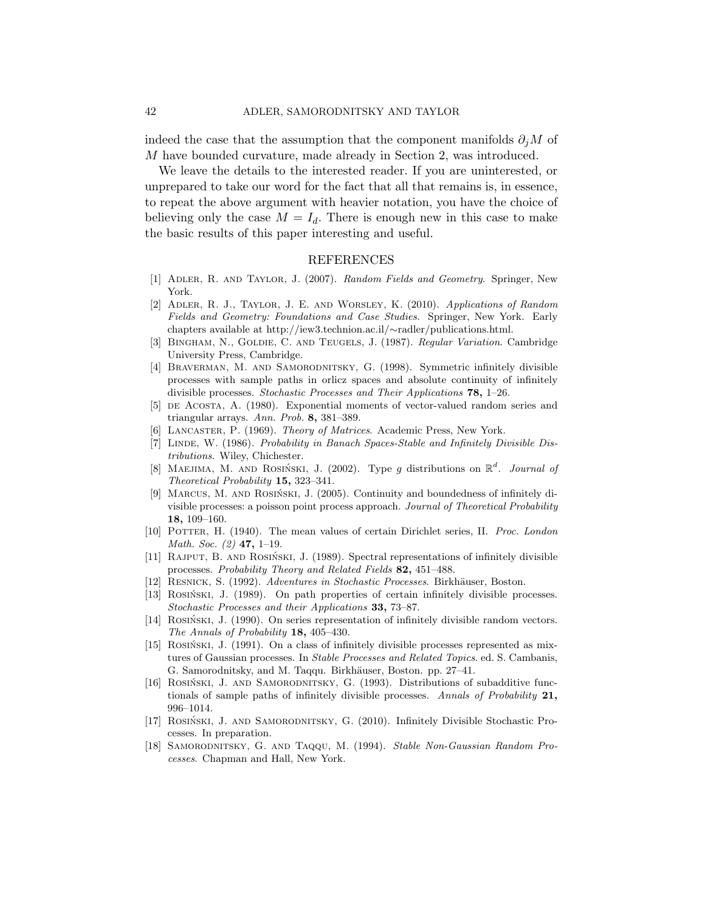indeed the case that the assumption that the component manifolds  $\partial_i M$  of M have bounded curvature, made already in Section [2,](#page-2-0) was introduced.

We leave the details to the interested reader. If you are uninterested, or unprepared to take our word for the fact that all that remains is, in essence, to repeat the above argument with heavier notation, you have the choice of believing only the case  $M = I_d$ . There is enough new in this case to make the basic results of this paper interesting and useful.

#### REFERENCES

- <span id="page-41-0"></span>[1] Adler, R. and Taylor, J. (2007). Random Fields and Geometry. Springer, New York.
- <span id="page-41-1"></span>[2] Adler, R. J., Taylor, J. E. and Worsley, K. (2010). Applications of Random Fields and Geometry: Foundations and Case Studies. Springer, New York. Early chapters available at http://iew3.technion.ac.il/∼radler/publications.html.
- <span id="page-41-11"></span>[3] BINGHAM, N., GOLDIE, C. AND TEUGELS, J. (1987). Regular Variation. Cambridge University Press, Cambridge.
- <span id="page-41-4"></span>[4] Braverman, M. and Samorodnitsky, G. (1998). Symmetric infinitely divisible processes with sample paths in orlicz spaces and absolute continuity of infinitely divisible processes. Stochastic Processes and Their Applications 78, 1–26.
- <span id="page-41-15"></span>[5] DE ACOSTA, A. (1980). Exponential moments of vector-valued random series and triangular arrays. Ann. Prob. 8, 381–389.
- <span id="page-41-16"></span>[6] LANCASTER, P. (1969). Theory of Matrices. Academic Press, New York.
- <span id="page-41-14"></span>[7] LINDE, W. (1986). Probability in Banach Spaces-Stable and Infinitely Divisible Distributions. Wiley, Chichester.
- <span id="page-41-12"></span>[8] MAEJIMA, M. AND ROSIŃSKI, J. (2002). Type g distributions on  $\mathbb{R}^d$ . Journal of Theoretical Probability 15, 323–341.
- <span id="page-41-6"></span>[9] MARCUS, M. AND ROSIŃSKI, J. (2005). Continuity and boundedness of infinitely divisible processes: a poisson point process approach. Journal of Theoretical Probability 18, 109–160.
- <span id="page-41-10"></span>[10] POTTER, H. (1940). The mean values of certain Dirichlet series, II. Proc. London *Math. Soc.*  $(2)$  47, 1–19.
- <span id="page-41-2"></span>[11] RAJPUT, B. AND ROSIŃSKI, J. (1989). Spectral representations of infinitely divisible processes. Probability Theory and Related Fields 82, 451–488.
- <span id="page-41-17"></span>[12] RESNICK, S. (1992). Adventures in Stochastic Processes. Birkhäuser, Boston.
- <span id="page-41-8"></span>[13] ROSIŃSKI, J. (1989). On path properties of certain infinitely divisible processes. Stochastic Processes and their Applications 33, 73–87.
- <span id="page-41-13"></span>[14] ROSIŃSKI, J. (1990). On series representation of infinitely divisible random vectors. The Annals of Probability 18, 405-430.
- <span id="page-41-7"></span>[15] ROSIŃSKI, J. (1991). On a class of infinitely divisible processes represented as mixtures of Gaussian processes. In Stable Processes and Related Topics. ed. S. Cambanis, G. Samorodnitsky, and M. Taqqu. Birkhäuser, Boston. pp. 27-41.
- <span id="page-41-9"></span>[16] ROSINSKI, J. AND SAMORODNITSKY, G. (1993). Distributions of subadditive functionals of sample paths of infinitely divisible processes. Annals of Probability 21, 996–1014.
- <span id="page-41-3"></span>[17] ROSIŃSKI, J. AND SAMORODNITSKY, G. (2010). Infinitely Divisible Stochastic Processes. In preparation.
- <span id="page-41-5"></span>[18] Samorodnitsky, G. and Taqqu, M. (1994). Stable Non-Gaussian Random Processes. Chapman and Hall, New York.